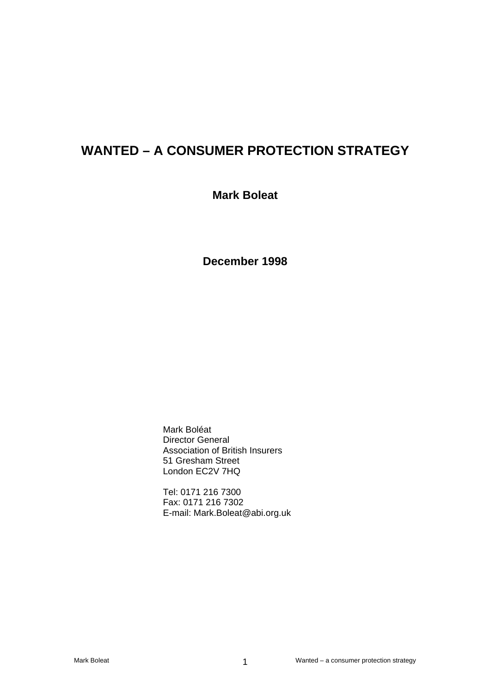# **WANTED – A CONSUMER PROTECTION STRATEGY**

## **Mark Boleat**

**December 1998** 

Mark Boléat Director General Association of British Insurers 51 Gresham Street London EC2V 7HQ

Tel: 0171 216 7300 Fax: 0171 216 7302 E-mail: Mark.Boleat@abi.org.uk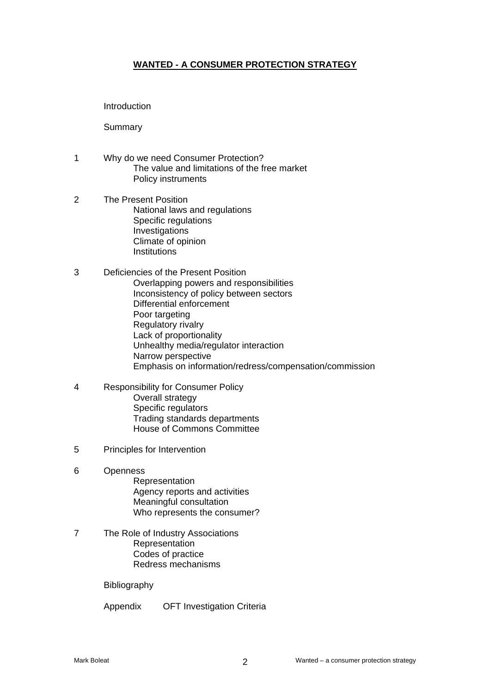## **WANTED - A CONSUMER PROTECTION STRATEGY**

Introduction

Summary

- 1 Why do we need Consumer Protection? The value and limitations of the free market Policy instruments
- 2 The Present Position National laws and regulations Specific regulations Investigations Climate of opinion **Institutions**
- 3 Deficiencies of the Present Position Overlapping powers and responsibilities Inconsistency of policy between sectors Differential enforcement Poor targeting Regulatory rivalry Lack of proportionality Unhealthy media/regulator interaction Narrow perspective Emphasis on information/redress/compensation/commission
- 4 Responsibility for Consumer Policy Overall strategy Specific regulators Trading standards departments House of Commons Committee
- 5 Principles for Intervention
- 6 Openness
	- Representation Agency reports and activities Meaningful consultation Who represents the consumer?
- 7 The Role of Industry Associations Representation Codes of practice Redress mechanisms

Bibliography

Appendix OFT Investigation Criteria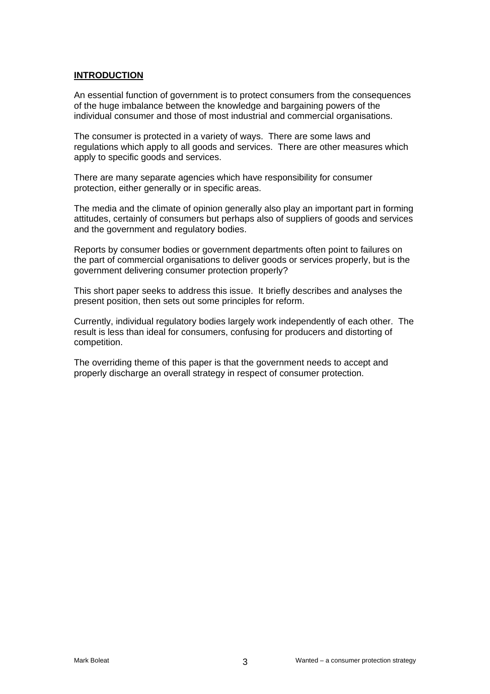## **INTRODUCTION**

An essential function of government is to protect consumers from the consequences of the huge imbalance between the knowledge and bargaining powers of the individual consumer and those of most industrial and commercial organisations.

The consumer is protected in a variety of ways. There are some laws and regulations which apply to all goods and services. There are other measures which apply to specific goods and services.

There are many separate agencies which have responsibility for consumer protection, either generally or in specific areas.

The media and the climate of opinion generally also play an important part in forming attitudes, certainly of consumers but perhaps also of suppliers of goods and services and the government and regulatory bodies.

Reports by consumer bodies or government departments often point to failures on the part of commercial organisations to deliver goods or services properly, but is the government delivering consumer protection properly?

This short paper seeks to address this issue. It briefly describes and analyses the present position, then sets out some principles for reform.

Currently, individual regulatory bodies largely work independently of each other. The result is less than ideal for consumers, confusing for producers and distorting of competition.

The overriding theme of this paper is that the government needs to accept and properly discharge an overall strategy in respect of consumer protection.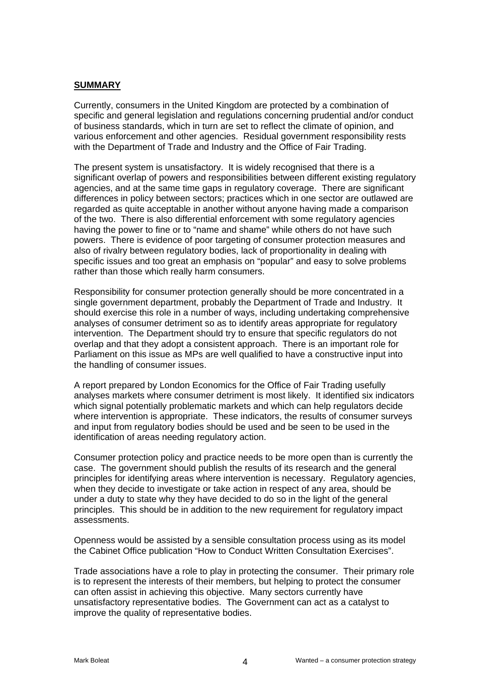#### **SUMMARY**

Currently, consumers in the United Kingdom are protected by a combination of specific and general legislation and regulations concerning prudential and/or conduct of business standards, which in turn are set to reflect the climate of opinion, and various enforcement and other agencies. Residual government responsibility rests with the Department of Trade and Industry and the Office of Fair Trading.

The present system is unsatisfactory. It is widely recognised that there is a significant overlap of powers and responsibilities between different existing regulatory agencies, and at the same time gaps in regulatory coverage. There are significant differences in policy between sectors; practices which in one sector are outlawed are regarded as quite acceptable in another without anyone having made a comparison of the two. There is also differential enforcement with some regulatory agencies having the power to fine or to "name and shame" while others do not have such powers. There is evidence of poor targeting of consumer protection measures and also of rivalry between regulatory bodies, lack of proportionality in dealing with specific issues and too great an emphasis on "popular" and easy to solve problems rather than those which really harm consumers.

Responsibility for consumer protection generally should be more concentrated in a single government department, probably the Department of Trade and Industry. It should exercise this role in a number of ways, including undertaking comprehensive analyses of consumer detriment so as to identify areas appropriate for regulatory intervention. The Department should try to ensure that specific regulators do not overlap and that they adopt a consistent approach. There is an important role for Parliament on this issue as MPs are well qualified to have a constructive input into the handling of consumer issues.

A report prepared by London Economics for the Office of Fair Trading usefully analyses markets where consumer detriment is most likely. It identified six indicators which signal potentially problematic markets and which can help regulators decide where intervention is appropriate. These indicators, the results of consumer surveys and input from regulatory bodies should be used and be seen to be used in the identification of areas needing regulatory action.

Consumer protection policy and practice needs to be more open than is currently the case. The government should publish the results of its research and the general principles for identifying areas where intervention is necessary. Regulatory agencies, when they decide to investigate or take action in respect of any area, should be under a duty to state why they have decided to do so in the light of the general principles. This should be in addition to the new requirement for regulatory impact assessments.

Openness would be assisted by a sensible consultation process using as its model the Cabinet Office publication "How to Conduct Written Consultation Exercises".

Trade associations have a role to play in protecting the consumer. Their primary role is to represent the interests of their members, but helping to protect the consumer can often assist in achieving this objective. Many sectors currently have unsatisfactory representative bodies. The Government can act as a catalyst to improve the quality of representative bodies.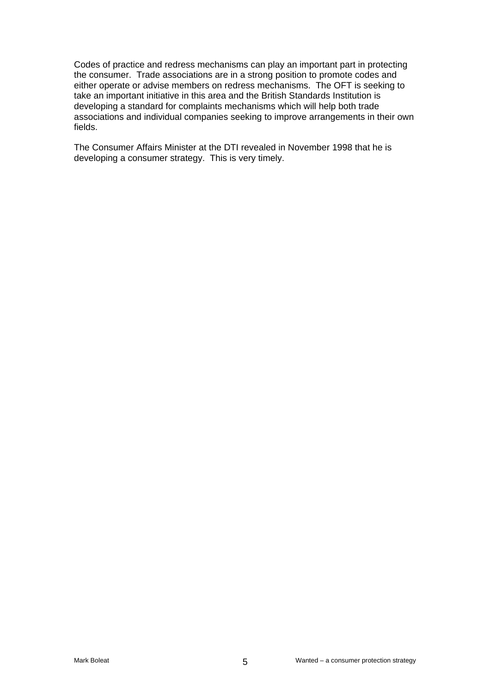Codes of practice and redress mechanisms can play an important part in protecting the consumer. Trade associations are in a strong position to promote codes and either operate or advise members on redress mechanisms. The OFT is seeking to take an important initiative in this area and the British Standards Institution is developing a standard for complaints mechanisms which will help both trade associations and individual companies seeking to improve arrangements in their own fields.

The Consumer Affairs Minister at the DTI revealed in November 1998 that he is developing a consumer strategy. This is very timely.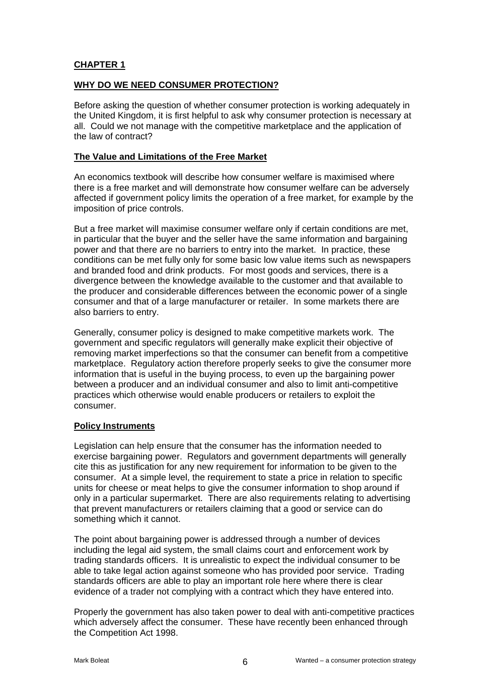## **CHAPTER 1**

## **WHY DO WE NEED CONSUMER PROTECTION?**

Before asking the question of whether consumer protection is working adequately in the United Kingdom, it is first helpful to ask why consumer protection is necessary at all. Could we not manage with the competitive marketplace and the application of the law of contract?

## **The Value and Limitations of the Free Market**

An economics textbook will describe how consumer welfare is maximised where there is a free market and will demonstrate how consumer welfare can be adversely affected if government policy limits the operation of a free market, for example by the imposition of price controls.

But a free market will maximise consumer welfare only if certain conditions are met, in particular that the buyer and the seller have the same information and bargaining power and that there are no barriers to entry into the market. In practice, these conditions can be met fully only for some basic low value items such as newspapers and branded food and drink products. For most goods and services, there is a divergence between the knowledge available to the customer and that available to the producer and considerable differences between the economic power of a single consumer and that of a large manufacturer or retailer. In some markets there are also barriers to entry.

Generally, consumer policy is designed to make competitive markets work. The government and specific regulators will generally make explicit their objective of removing market imperfections so that the consumer can benefit from a competitive marketplace. Regulatory action therefore properly seeks to give the consumer more information that is useful in the buying process, to even up the bargaining power between a producer and an individual consumer and also to limit anti-competitive practices which otherwise would enable producers or retailers to exploit the consumer.

## **Policy Instruments**

Legislation can help ensure that the consumer has the information needed to exercise bargaining power. Regulators and government departments will generally cite this as justification for any new requirement for information to be given to the consumer. At a simple level, the requirement to state a price in relation to specific units for cheese or meat helps to give the consumer information to shop around if only in a particular supermarket. There are also requirements relating to advertising that prevent manufacturers or retailers claiming that a good or service can do something which it cannot.

The point about bargaining power is addressed through a number of devices including the legal aid system, the small claims court and enforcement work by trading standards officers. It is unrealistic to expect the individual consumer to be able to take legal action against someone who has provided poor service. Trading standards officers are able to play an important role here where there is clear evidence of a trader not complying with a contract which they have entered into.

Properly the government has also taken power to deal with anti-competitive practices which adversely affect the consumer. These have recently been enhanced through the Competition Act 1998.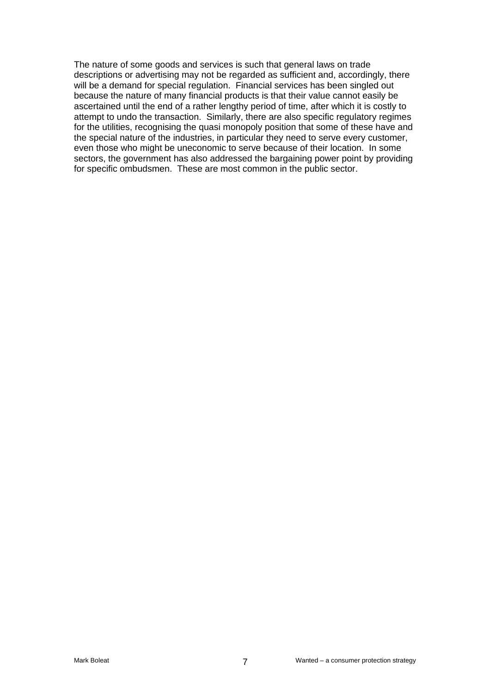The nature of some goods and services is such that general laws on trade descriptions or advertising may not be regarded as sufficient and, accordingly, there will be a demand for special regulation. Financial services has been singled out because the nature of many financial products is that their value cannot easily be ascertained until the end of a rather lengthy period of time, after which it is costly to attempt to undo the transaction. Similarly, there are also specific regulatory regimes for the utilities, recognising the quasi monopoly position that some of these have and the special nature of the industries, in particular they need to serve every customer, even those who might be uneconomic to serve because of their location. In some sectors, the government has also addressed the bargaining power point by providing for specific ombudsmen. These are most common in the public sector.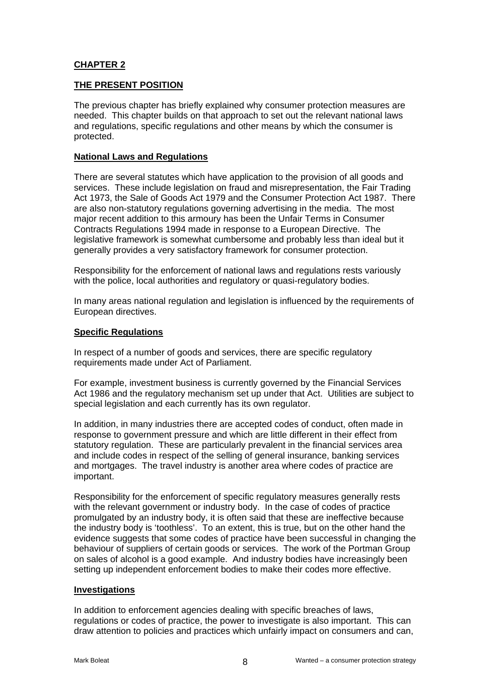## **CHAPTER 2**

## **THE PRESENT POSITION**

The previous chapter has briefly explained why consumer protection measures are needed. This chapter builds on that approach to set out the relevant national laws and regulations, specific regulations and other means by which the consumer is protected.

#### **National Laws and Regulations**

There are several statutes which have application to the provision of all goods and services. These include legislation on fraud and misrepresentation, the Fair Trading Act 1973, the Sale of Goods Act 1979 and the Consumer Protection Act 1987. There are also non-statutory regulations governing advertising in the media. The most major recent addition to this armoury has been the Unfair Terms in Consumer Contracts Regulations 1994 made in response to a European Directive. The legislative framework is somewhat cumbersome and probably less than ideal but it generally provides a very satisfactory framework for consumer protection.

Responsibility for the enforcement of national laws and regulations rests variously with the police, local authorities and regulatory or quasi-regulatory bodies.

In many areas national regulation and legislation is influenced by the requirements of European directives.

#### **Specific Regulations**

In respect of a number of goods and services, there are specific regulatory requirements made under Act of Parliament.

For example, investment business is currently governed by the Financial Services Act 1986 and the regulatory mechanism set up under that Act. Utilities are subject to special legislation and each currently has its own regulator.

In addition, in many industries there are accepted codes of conduct, often made in response to government pressure and which are little different in their effect from statutory regulation. These are particularly prevalent in the financial services area and include codes in respect of the selling of general insurance, banking services and mortgages. The travel industry is another area where codes of practice are important.

Responsibility for the enforcement of specific regulatory measures generally rests with the relevant government or industry body. In the case of codes of practice promulgated by an industry body, it is often said that these are ineffective because the industry body is 'toothless'. To an extent, this is true, but on the other hand the evidence suggests that some codes of practice have been successful in changing the behaviour of suppliers of certain goods or services. The work of the Portman Group on sales of alcohol is a good example. And industry bodies have increasingly been setting up independent enforcement bodies to make their codes more effective.

#### **Investigations**

In addition to enforcement agencies dealing with specific breaches of laws, regulations or codes of practice, the power to investigate is also important. This can draw attention to policies and practices which unfairly impact on consumers and can,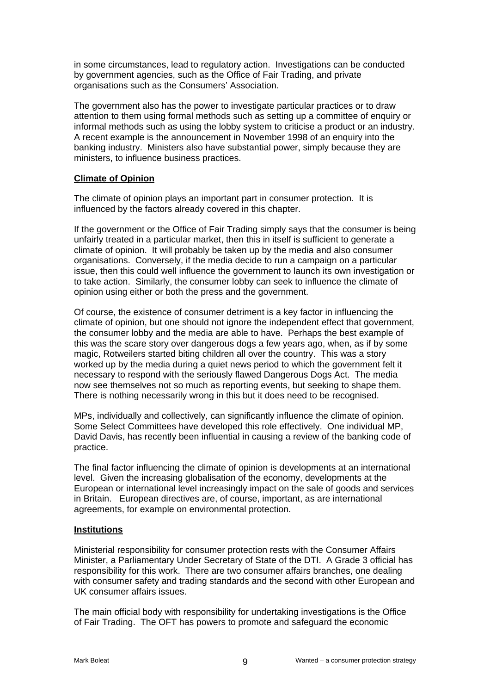in some circumstances, lead to regulatory action. Investigations can be conducted by government agencies, such as the Office of Fair Trading, and private organisations such as the Consumers' Association.

The government also has the power to investigate particular practices or to draw attention to them using formal methods such as setting up a committee of enquiry or informal methods such as using the lobby system to criticise a product or an industry. A recent example is the announcement in November 1998 of an enquiry into the banking industry. Ministers also have substantial power, simply because they are ministers, to influence business practices.

#### **Climate of Opinion**

The climate of opinion plays an important part in consumer protection. It is influenced by the factors already covered in this chapter.

If the government or the Office of Fair Trading simply says that the consumer is being unfairly treated in a particular market, then this in itself is sufficient to generate a climate of opinion. It will probably be taken up by the media and also consumer organisations. Conversely, if the media decide to run a campaign on a particular issue, then this could well influence the government to launch its own investigation or to take action. Similarly, the consumer lobby can seek to influence the climate of opinion using either or both the press and the government.

Of course, the existence of consumer detriment is a key factor in influencing the climate of opinion, but one should not ignore the independent effect that government, the consumer lobby and the media are able to have. Perhaps the best example of this was the scare story over dangerous dogs a few years ago, when, as if by some magic, Rotweilers started biting children all over the country. This was a story worked up by the media during a quiet news period to which the government felt it necessary to respond with the seriously flawed Dangerous Dogs Act. The media now see themselves not so much as reporting events, but seeking to shape them. There is nothing necessarily wrong in this but it does need to be recognised.

MPs, individually and collectively, can significantly influence the climate of opinion. Some Select Committees have developed this role effectively. One individual MP, David Davis, has recently been influential in causing a review of the banking code of practice.

The final factor influencing the climate of opinion is developments at an international level. Given the increasing globalisation of the economy, developments at the European or international level increasingly impact on the sale of goods and services in Britain. European directives are, of course, important, as are international agreements, for example on environmental protection.

#### **Institutions**

Ministerial responsibility for consumer protection rests with the Consumer Affairs Minister, a Parliamentary Under Secretary of State of the DTI. A Grade 3 official has responsibility for this work. There are two consumer affairs branches, one dealing with consumer safety and trading standards and the second with other European and UK consumer affairs issues.

The main official body with responsibility for undertaking investigations is the Office of Fair Trading. The OFT has powers to promote and safeguard the economic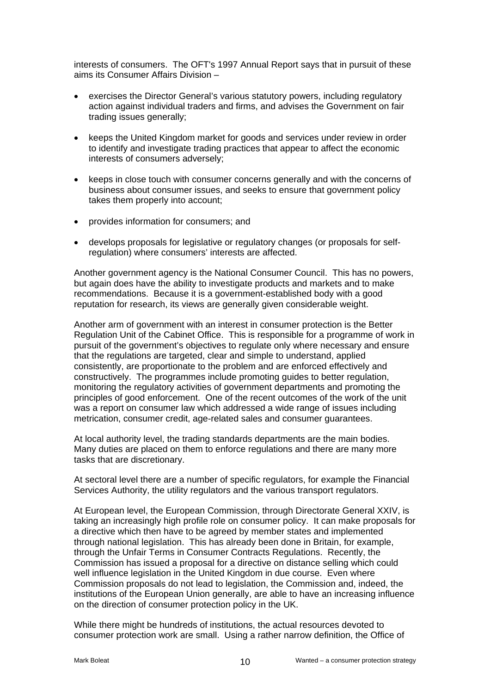interests of consumers. The OFT's 1997 Annual Report says that in pursuit of these aims its Consumer Affairs Division –

- exercises the Director General's various statutory powers, including regulatory action against individual traders and firms, and advises the Government on fair trading issues generally;
- keeps the United Kingdom market for goods and services under review in order to identify and investigate trading practices that appear to affect the economic interests of consumers adversely;
- keeps in close touch with consumer concerns generally and with the concerns of business about consumer issues, and seeks to ensure that government policy takes them properly into account;
- provides information for consumers; and
- develops proposals for legislative or regulatory changes (or proposals for selfregulation) where consumers' interests are affected.

Another government agency is the National Consumer Council. This has no powers, but again does have the ability to investigate products and markets and to make recommendations. Because it is a government-established body with a good reputation for research, its views are generally given considerable weight.

Another arm of government with an interest in consumer protection is the Better Regulation Unit of the Cabinet Office. This is responsible for a programme of work in pursuit of the government's objectives to regulate only where necessary and ensure that the regulations are targeted, clear and simple to understand, applied consistently, are proportionate to the problem and are enforced effectively and constructively. The programmes include promoting guides to better regulation, monitoring the regulatory activities of government departments and promoting the principles of good enforcement. One of the recent outcomes of the work of the unit was a report on consumer law which addressed a wide range of issues including metrication, consumer credit, age-related sales and consumer guarantees.

At local authority level, the trading standards departments are the main bodies. Many duties are placed on them to enforce regulations and there are many more tasks that are discretionary.

At sectoral level there are a number of specific regulators, for example the Financial Services Authority, the utility regulators and the various transport regulators.

At European level, the European Commission, through Directorate General XXIV, is taking an increasingly high profile role on consumer policy. It can make proposals for a directive which then have to be agreed by member states and implemented through national legislation. This has already been done in Britain, for example, through the Unfair Terms in Consumer Contracts Regulations. Recently, the Commission has issued a proposal for a directive on distance selling which could well influence legislation in the United Kingdom in due course. Even where Commission proposals do not lead to legislation, the Commission and, indeed, the institutions of the European Union generally, are able to have an increasing influence on the direction of consumer protection policy in the UK.

While there might be hundreds of institutions, the actual resources devoted to consumer protection work are small. Using a rather narrow definition, the Office of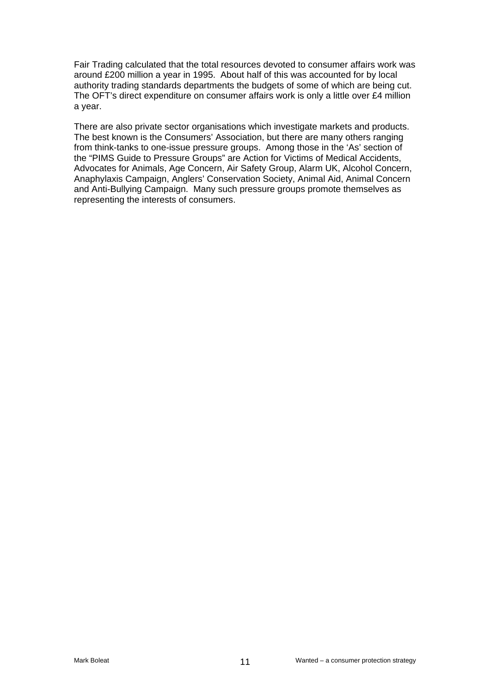Fair Trading calculated that the total resources devoted to consumer affairs work was around £200 million a year in 1995. About half of this was accounted for by local authority trading standards departments the budgets of some of which are being cut. The OFT's direct expenditure on consumer affairs work is only a little over £4 million a year.

There are also private sector organisations which investigate markets and products. The best known is the Consumers' Association, but there are many others ranging from think-tanks to one-issue pressure groups. Among those in the 'As' section of the "PIMS Guide to Pressure Groups" are Action for Victims of Medical Accidents, Advocates for Animals, Age Concern, Air Safety Group, Alarm UK, Alcohol Concern, Anaphylaxis Campaign, Anglers' Conservation Society, Animal Aid, Animal Concern and Anti-Bullying Campaign. Many such pressure groups promote themselves as representing the interests of consumers.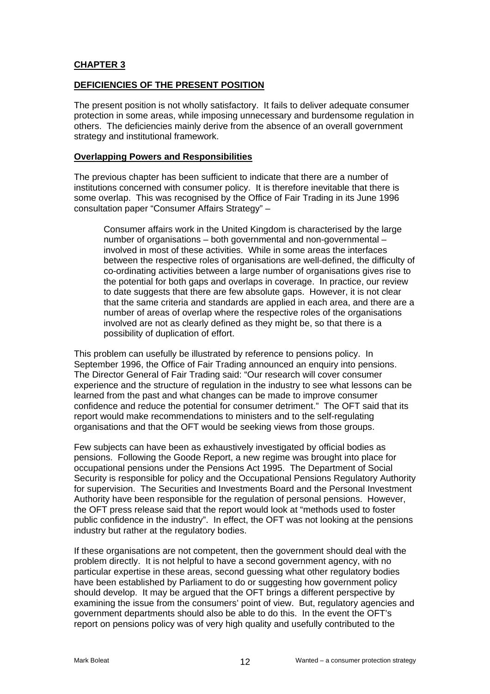## **CHAPTER 3**

#### **DEFICIENCIES OF THE PRESENT POSITION**

The present position is not wholly satisfactory. It fails to deliver adequate consumer protection in some areas, while imposing unnecessary and burdensome regulation in others. The deficiencies mainly derive from the absence of an overall government strategy and institutional framework.

#### **Overlapping Powers and Responsibilities**

The previous chapter has been sufficient to indicate that there are a number of institutions concerned with consumer policy. It is therefore inevitable that there is some overlap. This was recognised by the Office of Fair Trading in its June 1996 consultation paper "Consumer Affairs Strategy" –

Consumer affairs work in the United Kingdom is characterised by the large number of organisations – both governmental and non-governmental – involved in most of these activities. While in some areas the interfaces between the respective roles of organisations are well-defined, the difficulty of co-ordinating activities between a large number of organisations gives rise to the potential for both gaps and overlaps in coverage. In practice, our review to date suggests that there are few absolute gaps. However, it is not clear that the same criteria and standards are applied in each area, and there are a number of areas of overlap where the respective roles of the organisations involved are not as clearly defined as they might be, so that there is a possibility of duplication of effort.

This problem can usefully be illustrated by reference to pensions policy. In September 1996, the Office of Fair Trading announced an enquiry into pensions. The Director General of Fair Trading said: "Our research will cover consumer experience and the structure of regulation in the industry to see what lessons can be learned from the past and what changes can be made to improve consumer confidence and reduce the potential for consumer detriment." The OFT said that its report would make recommendations to ministers and to the self-regulating organisations and that the OFT would be seeking views from those groups.

Few subjects can have been as exhaustively investigated by official bodies as pensions. Following the Goode Report, a new regime was brought into place for occupational pensions under the Pensions Act 1995. The Department of Social Security is responsible for policy and the Occupational Pensions Regulatory Authority for supervision. The Securities and Investments Board and the Personal Investment Authority have been responsible for the regulation of personal pensions. However, the OFT press release said that the report would look at "methods used to foster public confidence in the industry". In effect, the OFT was not looking at the pensions industry but rather at the regulatory bodies.

If these organisations are not competent, then the government should deal with the problem directly. It is not helpful to have a second government agency, with no particular expertise in these areas, second guessing what other regulatory bodies have been established by Parliament to do or suggesting how government policy should develop. It may be argued that the OFT brings a different perspective by examining the issue from the consumers' point of view. But, regulatory agencies and government departments should also be able to do this. In the event the OFT's report on pensions policy was of very high quality and usefully contributed to the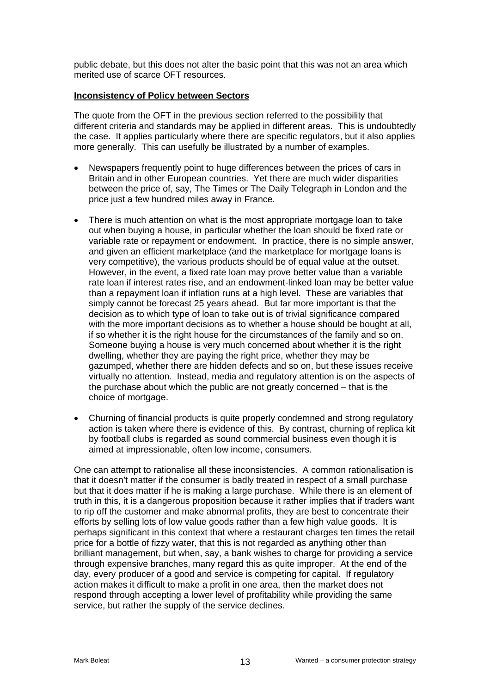public debate, but this does not alter the basic point that this was not an area which merited use of scarce OFT resources.

#### **Inconsistency of Policy between Sectors**

The quote from the OFT in the previous section referred to the possibility that different criteria and standards may be applied in different areas. This is undoubtedly the case. It applies particularly where there are specific regulators, but it also applies more generally. This can usefully be illustrated by a number of examples.

- Newspapers frequently point to huge differences between the prices of cars in Britain and in other European countries. Yet there are much wider disparities between the price of, say, The Times or The Daily Telegraph in London and the price just a few hundred miles away in France.
- There is much attention on what is the most appropriate mortgage loan to take out when buying a house, in particular whether the loan should be fixed rate or variable rate or repayment or endowment. In practice, there is no simple answer, and given an efficient marketplace (and the marketplace for mortgage loans is very competitive), the various products should be of equal value at the outset. However, in the event, a fixed rate loan may prove better value than a variable rate loan if interest rates rise, and an endowment-linked loan may be better value than a repayment loan if inflation runs at a high level. These are variables that simply cannot be forecast 25 years ahead. But far more important is that the decision as to which type of loan to take out is of trivial significance compared with the more important decisions as to whether a house should be bought at all, if so whether it is the right house for the circumstances of the family and so on. Someone buying a house is very much concerned about whether it is the right dwelling, whether they are paying the right price, whether they may be gazumped, whether there are hidden defects and so on, but these issues receive virtually no attention. Instead, media and regulatory attention is on the aspects of the purchase about which the public are not greatly concerned – that is the choice of mortgage.
- Churning of financial products is quite properly condemned and strong regulatory action is taken where there is evidence of this. By contrast, churning of replica kit by football clubs is regarded as sound commercial business even though it is aimed at impressionable, often low income, consumers.

One can attempt to rationalise all these inconsistencies. A common rationalisation is that it doesn't matter if the consumer is badly treated in respect of a small purchase but that it does matter if he is making a large purchase. While there is an element of truth in this, it is a dangerous proposition because it rather implies that if traders want to rip off the customer and make abnormal profits, they are best to concentrate their efforts by selling lots of low value goods rather than a few high value goods. It is perhaps significant in this context that where a restaurant charges ten times the retail price for a bottle of fizzy water, that this is not regarded as anything other than brilliant management, but when, say, a bank wishes to charge for providing a service through expensive branches, many regard this as quite improper. At the end of the day, every producer of a good and service is competing for capital. If regulatory action makes it difficult to make a profit in one area, then the market does not respond through accepting a lower level of profitability while providing the same service, but rather the supply of the service declines.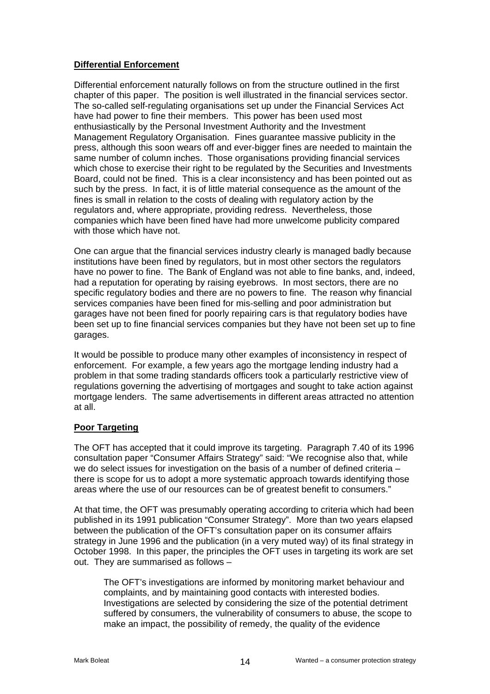## **Differential Enforcement**

Differential enforcement naturally follows on from the structure outlined in the first chapter of this paper. The position is well illustrated in the financial services sector. The so-called self-regulating organisations set up under the Financial Services Act have had power to fine their members. This power has been used most enthusiastically by the Personal Investment Authority and the Investment Management Regulatory Organisation. Fines guarantee massive publicity in the press, although this soon wears off and ever-bigger fines are needed to maintain the same number of column inches. Those organisations providing financial services which chose to exercise their right to be regulated by the Securities and Investments Board, could not be fined. This is a clear inconsistency and has been pointed out as such by the press. In fact, it is of little material consequence as the amount of the fines is small in relation to the costs of dealing with regulatory action by the regulators and, where appropriate, providing redress. Nevertheless, those companies which have been fined have had more unwelcome publicity compared with those which have not.

One can argue that the financial services industry clearly is managed badly because institutions have been fined by regulators, but in most other sectors the regulators have no power to fine. The Bank of England was not able to fine banks, and, indeed, had a reputation for operating by raising eyebrows. In most sectors, there are no specific regulatory bodies and there are no powers to fine. The reason why financial services companies have been fined for mis-selling and poor administration but garages have not been fined for poorly repairing cars is that regulatory bodies have been set up to fine financial services companies but they have not been set up to fine garages.

It would be possible to produce many other examples of inconsistency in respect of enforcement. For example, a few years ago the mortgage lending industry had a problem in that some trading standards officers took a particularly restrictive view of regulations governing the advertising of mortgages and sought to take action against mortgage lenders. The same advertisements in different areas attracted no attention at all.

## **Poor Targeting**

The OFT has accepted that it could improve its targeting. Paragraph 7.40 of its 1996 consultation paper "Consumer Affairs Strategy" said: "We recognise also that, while we do select issues for investigation on the basis of a number of defined criteria – there is scope for us to adopt a more systematic approach towards identifying those areas where the use of our resources can be of greatest benefit to consumers."

At that time, the OFT was presumably operating according to criteria which had been published in its 1991 publication "Consumer Strategy". More than two years elapsed between the publication of the OFT's consultation paper on its consumer affairs strategy in June 1996 and the publication (in a very muted way) of its final strategy in October 1998. In this paper, the principles the OFT uses in targeting its work are set out. They are summarised as follows –

The OFT's investigations are informed by monitoring market behaviour and complaints, and by maintaining good contacts with interested bodies. Investigations are selected by considering the size of the potential detriment suffered by consumers, the vulnerability of consumers to abuse, the scope to make an impact, the possibility of remedy, the quality of the evidence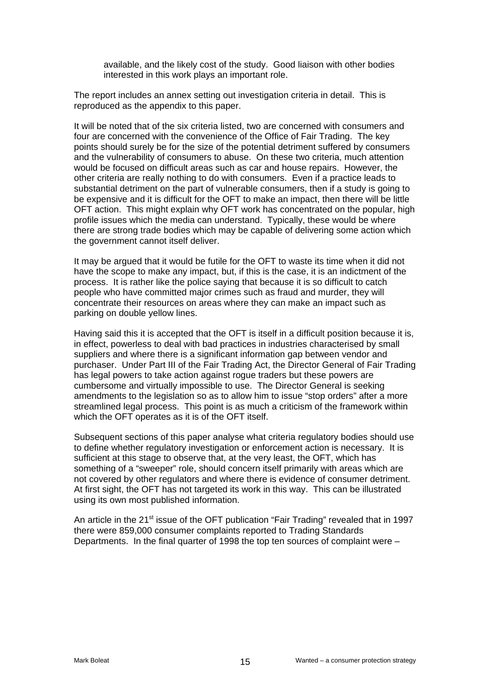available, and the likely cost of the study. Good liaison with other bodies interested in this work plays an important role.

The report includes an annex setting out investigation criteria in detail. This is reproduced as the appendix to this paper.

It will be noted that of the six criteria listed, two are concerned with consumers and four are concerned with the convenience of the Office of Fair Trading. The key points should surely be for the size of the potential detriment suffered by consumers and the vulnerability of consumers to abuse. On these two criteria, much attention would be focused on difficult areas such as car and house repairs. However, the other criteria are really nothing to do with consumers. Even if a practice leads to substantial detriment on the part of vulnerable consumers, then if a study is going to be expensive and it is difficult for the OFT to make an impact, then there will be little OFT action. This might explain why OFT work has concentrated on the popular, high profile issues which the media can understand. Typically, these would be where there are strong trade bodies which may be capable of delivering some action which the government cannot itself deliver.

It may be argued that it would be futile for the OFT to waste its time when it did not have the scope to make any impact, but, if this is the case, it is an indictment of the process. It is rather like the police saying that because it is so difficult to catch people who have committed major crimes such as fraud and murder, they will concentrate their resources on areas where they can make an impact such as parking on double yellow lines.

Having said this it is accepted that the OFT is itself in a difficult position because it is, in effect, powerless to deal with bad practices in industries characterised by small suppliers and where there is a significant information gap between vendor and purchaser. Under Part III of the Fair Trading Act, the Director General of Fair Trading has legal powers to take action against roque traders but these powers are cumbersome and virtually impossible to use. The Director General is seeking amendments to the legislation so as to allow him to issue "stop orders" after a more streamlined legal process. This point is as much a criticism of the framework within which the OFT operates as it is of the OFT itself.

Subsequent sections of this paper analyse what criteria regulatory bodies should use to define whether regulatory investigation or enforcement action is necessary. It is sufficient at this stage to observe that, at the very least, the OFT, which has something of a "sweeper" role, should concern itself primarily with areas which are not covered by other regulators and where there is evidence of consumer detriment. At first sight, the OFT has not targeted its work in this way. This can be illustrated using its own most published information.

An article in the 21<sup>st</sup> issue of the OFT publication "Fair Trading" revealed that in 1997 there were 859,000 consumer complaints reported to Trading Standards Departments. In the final quarter of 1998 the top ten sources of complaint were –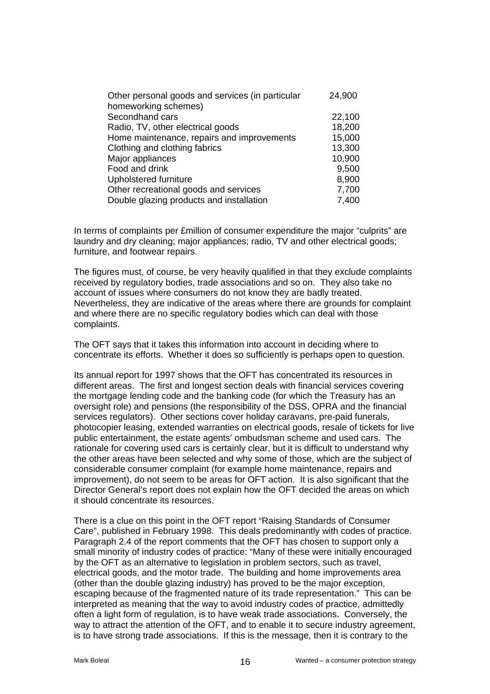| Other personal goods and services (in particular | 24,900 |
|--------------------------------------------------|--------|
| homeworking schemes)                             |        |
| Secondhand cars                                  | 22,100 |
| Radio, TV, other electrical goods                | 18,200 |
| Home maintenance, repairs and improvements       | 15,000 |
| Clothing and clothing fabrics                    | 13,300 |
| Major appliances                                 | 10,900 |
| Food and drink                                   | 9,500  |
| Upholstered furniture                            | 8,900  |
| Other recreational goods and services            | 7,700  |
| Double glazing products and installation         | 7,400  |

In terms of complaints per £million of consumer expenditure the major "culprits" are laundry and dry cleaning; major appliances; radio, TV and other electrical goods; furniture, and footwear repairs.

The figures must, of course, be very heavily qualified in that they exclude complaints received by regulatory bodies, trade associations and so on. They also take no account of issues where consumers do not know they are badly treated. Nevertheless, they are indicative of the areas where there are grounds for complaint and where there are no specific regulatory bodies which can deal with those complaints.

The OFT says that it takes this information into account in deciding where to concentrate its efforts. Whether it does so sufficiently is perhaps open to question.

Its annual report for 1997 shows that the OFT has concentrated its resources in different areas. The first and longest section deals with financial services covering the mortgage lending code and the banking code (for which the Treasury has an oversight role) and pensions (the responsibility of the DSS, OPRA and the financial services regulators). Other sections cover holiday caravans, pre-paid funerals, photocopier leasing, extended warranties on electrical goods, resale of tickets for live public entertainment, the estate agents' ombudsman scheme and used cars. The rationale for covering used cars is certainly clear, but it is difficult to understand why the other areas have been selected and why some of those, which are the subject of considerable consumer complaint (for example home maintenance, repairs and improvement), do not seem to be areas for OFT action. It is also significant that the Director General's report does not explain how the OFT decided the areas on which it should concentrate its resources.

There is a clue on this point in the OFT report "Raising Standards of Consumer Care", published in February 1998. This deals predominantly with codes of practice. Paragraph 2.4 of the report comments that the OFT has chosen to support only a small minority of industry codes of practice: "Many of these were initially encouraged by the OFT as an alternative to legislation in problem sectors, such as travel, electrical goods, and the motor trade. The building and home improvements area (other than the double glazing industry) has proved to be the major exception, escaping because of the fragmented nature of its trade representation." This can be interpreted as meaning that the way to avoid industry codes of practice, admittedly often a light form of regulation, is to have weak trade associations. Conversely, the way to attract the attention of the OFT, and to enable it to secure industry agreement, is to have strong trade associations. If this is the message, then it is contrary to the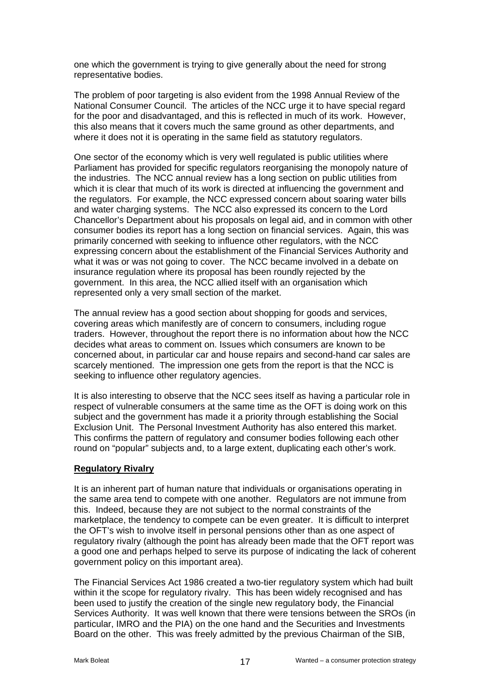one which the government is trying to give generally about the need for strong representative bodies.

The problem of poor targeting is also evident from the 1998 Annual Review of the National Consumer Council. The articles of the NCC urge it to have special regard for the poor and disadvantaged, and this is reflected in much of its work. However, this also means that it covers much the same ground as other departments, and where it does not it is operating in the same field as statutory regulators.

One sector of the economy which is very well regulated is public utilities where Parliament has provided for specific regulators reorganising the monopoly nature of the industries. The NCC annual review has a long section on public utilities from which it is clear that much of its work is directed at influencing the government and the regulators. For example, the NCC expressed concern about soaring water bills and water charging systems. The NCC also expressed its concern to the Lord Chancellor's Department about his proposals on legal aid, and in common with other consumer bodies its report has a long section on financial services. Again, this was primarily concerned with seeking to influence other regulators, with the NCC expressing concern about the establishment of the Financial Services Authority and what it was or was not going to cover. The NCC became involved in a debate on insurance regulation where its proposal has been roundly rejected by the government. In this area, the NCC allied itself with an organisation which represented only a very small section of the market.

The annual review has a good section about shopping for goods and services, covering areas which manifestly are of concern to consumers, including rogue traders. However, throughout the report there is no information about how the NCC decides what areas to comment on. Issues which consumers are known to be concerned about, in particular car and house repairs and second-hand car sales are scarcely mentioned. The impression one gets from the report is that the NCC is seeking to influence other regulatory agencies.

It is also interesting to observe that the NCC sees itself as having a particular role in respect of vulnerable consumers at the same time as the OFT is doing work on this subject and the government has made it a priority through establishing the Social Exclusion Unit. The Personal Investment Authority has also entered this market. This confirms the pattern of regulatory and consumer bodies following each other round on "popular" subjects and, to a large extent, duplicating each other's work.

#### **Regulatory Rivalry**

It is an inherent part of human nature that individuals or organisations operating in the same area tend to compete with one another. Regulators are not immune from this. Indeed, because they are not subject to the normal constraints of the marketplace, the tendency to compete can be even greater. It is difficult to interpret the OFT's wish to involve itself in personal pensions other than as one aspect of regulatory rivalry (although the point has already been made that the OFT report was a good one and perhaps helped to serve its purpose of indicating the lack of coherent government policy on this important area).

The Financial Services Act 1986 created a two-tier regulatory system which had built within it the scope for regulatory rivalry. This has been widely recognised and has been used to justify the creation of the single new regulatory body, the Financial Services Authority. It was well known that there were tensions between the SROs (in particular, IMRO and the PIA) on the one hand and the Securities and Investments Board on the other. This was freely admitted by the previous Chairman of the SIB,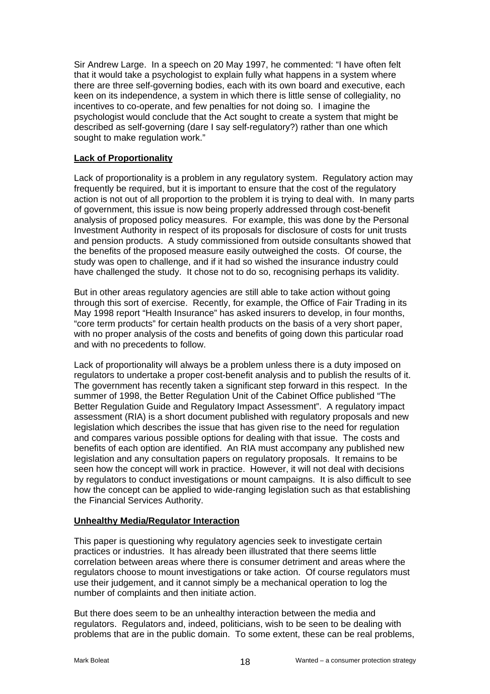Sir Andrew Large. In a speech on 20 May 1997, he commented: "I have often felt that it would take a psychologist to explain fully what happens in a system where there are three self-governing bodies, each with its own board and executive, each keen on its independence, a system in which there is little sense of collegiality, no incentives to co-operate, and few penalties for not doing so. I imagine the psychologist would conclude that the Act sought to create a system that might be described as self-governing (dare I say self-regulatory?) rather than one which sought to make regulation work."

## **Lack of Proportionality**

Lack of proportionality is a problem in any regulatory system. Regulatory action may frequently be required, but it is important to ensure that the cost of the regulatory action is not out of all proportion to the problem it is trying to deal with. In many parts of government, this issue is now being properly addressed through cost-benefit analysis of proposed policy measures. For example, this was done by the Personal Investment Authority in respect of its proposals for disclosure of costs for unit trusts and pension products. A study commissioned from outside consultants showed that the benefits of the proposed measure easily outweighed the costs. Of course, the study was open to challenge, and if it had so wished the insurance industry could have challenged the study. It chose not to do so, recognising perhaps its validity.

But in other areas regulatory agencies are still able to take action without going through this sort of exercise. Recently, for example, the Office of Fair Trading in its May 1998 report "Health Insurance" has asked insurers to develop, in four months, "core term products" for certain health products on the basis of a very short paper, with no proper analysis of the costs and benefits of going down this particular road and with no precedents to follow.

Lack of proportionality will always be a problem unless there is a duty imposed on regulators to undertake a proper cost-benefit analysis and to publish the results of it. The government has recently taken a significant step forward in this respect. In the summer of 1998, the Better Regulation Unit of the Cabinet Office published "The Better Regulation Guide and Regulatory Impact Assessment". A regulatory impact assessment (RIA) is a short document published with regulatory proposals and new legislation which describes the issue that has given rise to the need for regulation and compares various possible options for dealing with that issue. The costs and benefits of each option are identified. An RIA must accompany any published new legislation and any consultation papers on regulatory proposals. It remains to be seen how the concept will work in practice. However, it will not deal with decisions by regulators to conduct investigations or mount campaigns. It is also difficult to see how the concept can be applied to wide-ranging legislation such as that establishing the Financial Services Authority.

#### **Unhealthy Media/Regulator Interaction**

This paper is questioning why regulatory agencies seek to investigate certain practices or industries. It has already been illustrated that there seems little correlation between areas where there is consumer detriment and areas where the regulators choose to mount investigations or take action. Of course regulators must use their judgement, and it cannot simply be a mechanical operation to log the number of complaints and then initiate action.

But there does seem to be an unhealthy interaction between the media and regulators. Regulators and, indeed, politicians, wish to be seen to be dealing with problems that are in the public domain. To some extent, these can be real problems,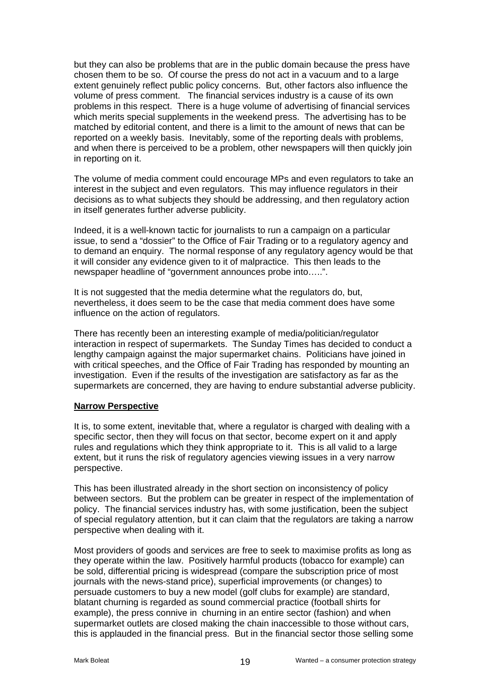but they can also be problems that are in the public domain because the press have chosen them to be so. Of course the press do not act in a vacuum and to a large extent genuinely reflect public policy concerns. But, other factors also influence the volume of press comment. The financial services industry is a cause of its own problems in this respect. There is a huge volume of advertising of financial services which merits special supplements in the weekend press. The advertising has to be matched by editorial content, and there is a limit to the amount of news that can be reported on a weekly basis. Inevitably, some of the reporting deals with problems, and when there is perceived to be a problem, other newspapers will then quickly join in reporting on it.

The volume of media comment could encourage MPs and even regulators to take an interest in the subject and even regulators. This may influence regulators in their decisions as to what subjects they should be addressing, and then regulatory action in itself generates further adverse publicity.

Indeed, it is a well-known tactic for journalists to run a campaign on a particular issue, to send a "dossier" to the Office of Fair Trading or to a regulatory agency and to demand an enquiry. The normal response of any regulatory agency would be that it will consider any evidence given to it of malpractice. This then leads to the newspaper headline of "government announces probe into…..".

It is not suggested that the media determine what the regulators do, but, nevertheless, it does seem to be the case that media comment does have some influence on the action of regulators.

There has recently been an interesting example of media/politician/regulator interaction in respect of supermarkets. The Sunday Times has decided to conduct a lengthy campaign against the major supermarket chains. Politicians have joined in with critical speeches, and the Office of Fair Trading has responded by mounting an investigation. Even if the results of the investigation are satisfactory as far as the supermarkets are concerned, they are having to endure substantial adverse publicity.

#### **Narrow Perspective**

It is, to some extent, inevitable that, where a regulator is charged with dealing with a specific sector, then they will focus on that sector, become expert on it and apply rules and regulations which they think appropriate to it. This is all valid to a large extent, but it runs the risk of regulatory agencies viewing issues in a very narrow perspective.

This has been illustrated already in the short section on inconsistency of policy between sectors. But the problem can be greater in respect of the implementation of policy. The financial services industry has, with some justification, been the subject of special regulatory attention, but it can claim that the regulators are taking a narrow perspective when dealing with it.

Most providers of goods and services are free to seek to maximise profits as long as they operate within the law. Positively harmful products (tobacco for example) can be sold, differential pricing is widespread (compare the subscription price of most journals with the news-stand price), superficial improvements (or changes) to persuade customers to buy a new model (golf clubs for example) are standard, blatant churning is regarded as sound commercial practice (football shirts for example), the press connive in churning in an entire sector (fashion) and when supermarket outlets are closed making the chain inaccessible to those without cars, this is applauded in the financial press. But in the financial sector those selling some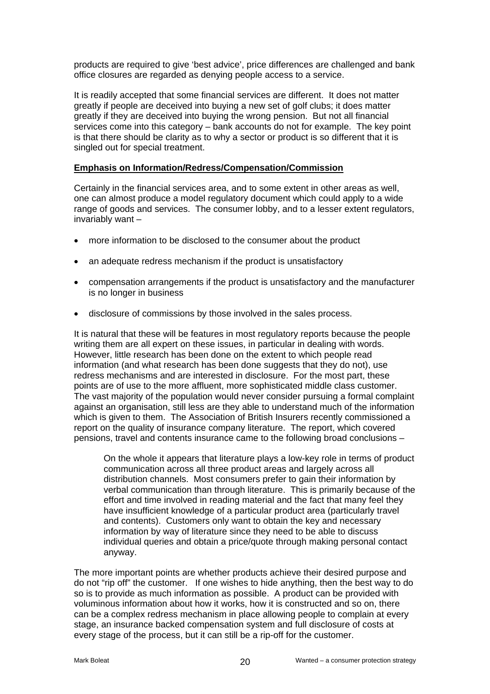products are required to give 'best advice', price differences are challenged and bank office closures are regarded as denying people access to a service.

It is readily accepted that some financial services are different. It does not matter greatly if people are deceived into buying a new set of golf clubs; it does matter greatly if they are deceived into buying the wrong pension. But not all financial services come into this category – bank accounts do not for example. The key point is that there should be clarity as to why a sector or product is so different that it is singled out for special treatment.

#### **Emphasis on Information/Redress/Compensation/Commission**

Certainly in the financial services area, and to some extent in other areas as well, one can almost produce a model regulatory document which could apply to a wide range of goods and services. The consumer lobby, and to a lesser extent regulators, invariably want –

- more information to be disclosed to the consumer about the product
- an adequate redress mechanism if the product is unsatisfactory
- compensation arrangements if the product is unsatisfactory and the manufacturer is no longer in business
- disclosure of commissions by those involved in the sales process.

It is natural that these will be features in most regulatory reports because the people writing them are all expert on these issues, in particular in dealing with words. However, little research has been done on the extent to which people read information (and what research has been done suggests that they do not), use redress mechanisms and are interested in disclosure. For the most part, these points are of use to the more affluent, more sophisticated middle class customer. The vast majority of the population would never consider pursuing a formal complaint against an organisation, still less are they able to understand much of the information which is given to them. The Association of British Insurers recently commissioned a report on the quality of insurance company literature. The report, which covered pensions, travel and contents insurance came to the following broad conclusions –

On the whole it appears that literature plays a low-key role in terms of product communication across all three product areas and largely across all distribution channels. Most consumers prefer to gain their information by verbal communication than through literature. This is primarily because of the effort and time involved in reading material and the fact that many feel they have insufficient knowledge of a particular product area (particularly travel and contents). Customers only want to obtain the key and necessary information by way of literature since they need to be able to discuss individual queries and obtain a price/quote through making personal contact anyway.

The more important points are whether products achieve their desired purpose and do not "rip off" the customer. If one wishes to hide anything, then the best way to do so is to provide as much information as possible. A product can be provided with voluminous information about how it works, how it is constructed and so on, there can be a complex redress mechanism in place allowing people to complain at every stage, an insurance backed compensation system and full disclosure of costs at every stage of the process, but it can still be a rip-off for the customer.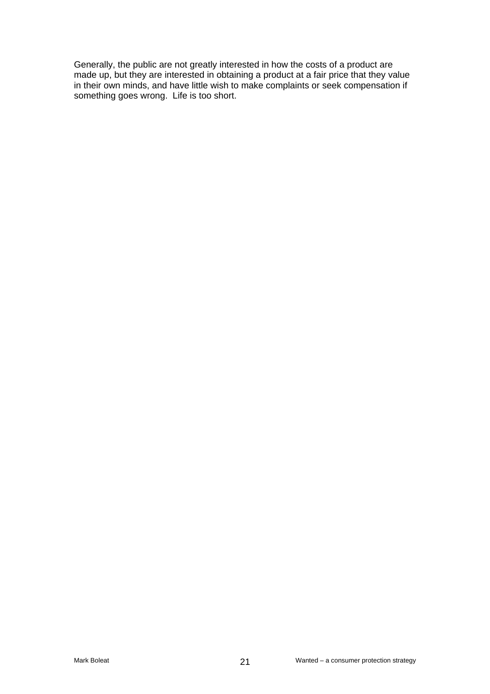Generally, the public are not greatly interested in how the costs of a product are made up, but they are interested in obtaining a product at a fair price that they value in their own minds, and have little wish to make complaints or seek compensation if something goes wrong. Life is too short.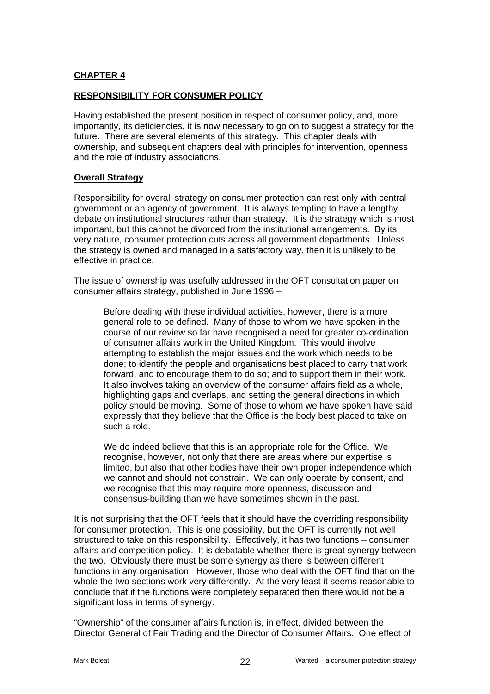## **CHAPTER 4**

#### **RESPONSIBILITY FOR CONSUMER POLICY**

Having established the present position in respect of consumer policy, and, more importantly, its deficiencies, it is now necessary to go on to suggest a strategy for the future. There are several elements of this strategy. This chapter deals with ownership, and subsequent chapters deal with principles for intervention, openness and the role of industry associations.

#### **Overall Strategy**

Responsibility for overall strategy on consumer protection can rest only with central government or an agency of government. It is always tempting to have a lengthy debate on institutional structures rather than strategy. It is the strategy which is most important, but this cannot be divorced from the institutional arrangements. By its very nature, consumer protection cuts across all government departments. Unless the strategy is owned and managed in a satisfactory way, then it is unlikely to be effective in practice.

The issue of ownership was usefully addressed in the OFT consultation paper on consumer affairs strategy, published in June 1996 –

Before dealing with these individual activities, however, there is a more general role to be defined. Many of those to whom we have spoken in the course of our review so far have recognised a need for greater co-ordination of consumer affairs work in the United Kingdom. This would involve attempting to establish the major issues and the work which needs to be done; to identify the people and organisations best placed to carry that work forward, and to encourage them to do so; and to support them in their work. It also involves taking an overview of the consumer affairs field as a whole, highlighting gaps and overlaps, and setting the general directions in which policy should be moving. Some of those to whom we have spoken have said expressly that they believe that the Office is the body best placed to take on such a role.

We do indeed believe that this is an appropriate role for the Office. We recognise, however, not only that there are areas where our expertise is limited, but also that other bodies have their own proper independence which we cannot and should not constrain. We can only operate by consent, and we recognise that this may require more openness, discussion and consensus-building than we have sometimes shown in the past.

It is not surprising that the OFT feels that it should have the overriding responsibility for consumer protection. This is one possibility, but the OFT is currently not well structured to take on this responsibility. Effectively, it has two functions – consumer affairs and competition policy. It is debatable whether there is great synergy between the two. Obviously there must be some synergy as there is between different functions in any organisation. However, those who deal with the OFT find that on the whole the two sections work very differently. At the very least it seems reasonable to conclude that if the functions were completely separated then there would not be a significant loss in terms of synergy.

"Ownership" of the consumer affairs function is, in effect, divided between the Director General of Fair Trading and the Director of Consumer Affairs. One effect of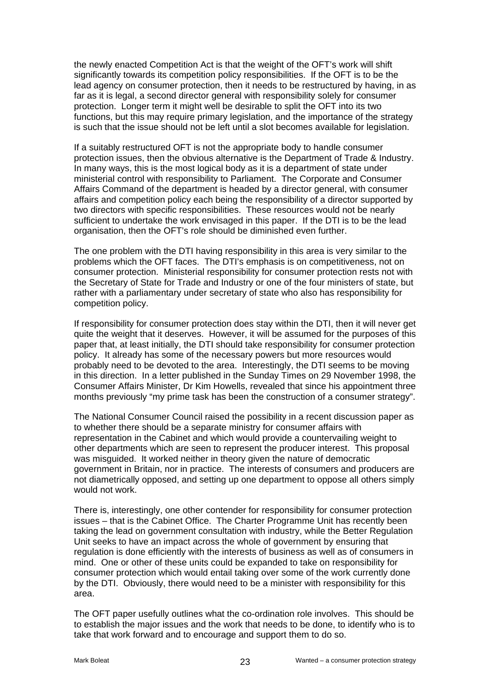the newly enacted Competition Act is that the weight of the OFT's work will shift significantly towards its competition policy responsibilities. If the OFT is to be the lead agency on consumer protection, then it needs to be restructured by having, in as far as it is legal, a second director general with responsibility solely for consumer protection. Longer term it might well be desirable to split the OFT into its two functions, but this may require primary legislation, and the importance of the strategy is such that the issue should not be left until a slot becomes available for legislation.

If a suitably restructured OFT is not the appropriate body to handle consumer protection issues, then the obvious alternative is the Department of Trade & Industry. In many ways, this is the most logical body as it is a department of state under ministerial control with responsibility to Parliament. The Corporate and Consumer Affairs Command of the department is headed by a director general, with consumer affairs and competition policy each being the responsibility of a director supported by two directors with specific responsibilities. These resources would not be nearly sufficient to undertake the work envisaged in this paper. If the DTI is to be the lead organisation, then the OFT's role should be diminished even further.

The one problem with the DTI having responsibility in this area is very similar to the problems which the OFT faces. The DTI's emphasis is on competitiveness, not on consumer protection. Ministerial responsibility for consumer protection rests not with the Secretary of State for Trade and Industry or one of the four ministers of state, but rather with a parliamentary under secretary of state who also has responsibility for competition policy.

If responsibility for consumer protection does stay within the DTI, then it will never get quite the weight that it deserves. However, it will be assumed for the purposes of this paper that, at least initially, the DTI should take responsibility for consumer protection policy. It already has some of the necessary powers but more resources would probably need to be devoted to the area. Interestingly, the DTI seems to be moving in this direction. In a letter published in the Sunday Times on 29 November 1998, the Consumer Affairs Minister, Dr Kim Howells, revealed that since his appointment three months previously "my prime task has been the construction of a consumer strategy".

The National Consumer Council raised the possibility in a recent discussion paper as to whether there should be a separate ministry for consumer affairs with representation in the Cabinet and which would provide a countervailing weight to other departments which are seen to represent the producer interest. This proposal was misguided. It worked neither in theory given the nature of democratic government in Britain, nor in practice. The interests of consumers and producers are not diametrically opposed, and setting up one department to oppose all others simply would not work.

There is, interestingly, one other contender for responsibility for consumer protection issues – that is the Cabinet Office. The Charter Programme Unit has recently been taking the lead on government consultation with industry, while the Better Regulation Unit seeks to have an impact across the whole of government by ensuring that regulation is done efficiently with the interests of business as well as of consumers in mind. One or other of these units could be expanded to take on responsibility for consumer protection which would entail taking over some of the work currently done by the DTI. Obviously, there would need to be a minister with responsibility for this area.

The OFT paper usefully outlines what the co-ordination role involves. This should be to establish the major issues and the work that needs to be done, to identify who is to take that work forward and to encourage and support them to do so.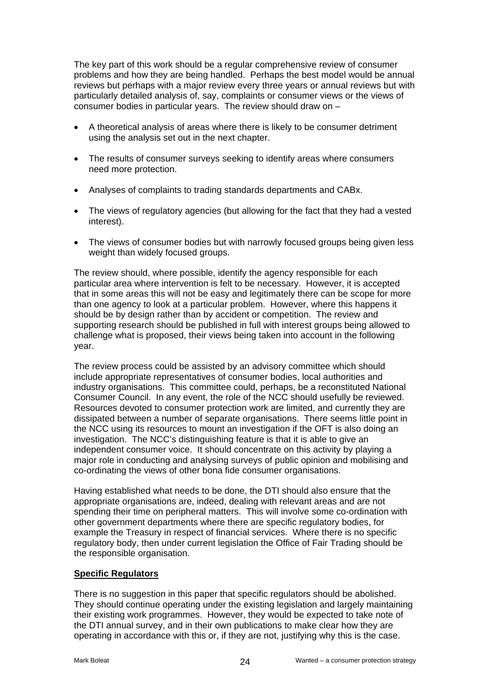The key part of this work should be a regular comprehensive review of consumer problems and how they are being handled. Perhaps the best model would be annual reviews but perhaps with a major review every three years or annual reviews but with particularly detailed analysis of, say, complaints or consumer views or the views of consumer bodies in particular years. The review should draw on –

- A theoretical analysis of areas where there is likely to be consumer detriment using the analysis set out in the next chapter.
- The results of consumer surveys seeking to identify areas where consumers need more protection.
- Analyses of complaints to trading standards departments and CABx.
- The views of regulatory agencies (but allowing for the fact that they had a vested interest).
- The views of consumer bodies but with narrowly focused groups being given less weight than widely focused groups.

The review should, where possible, identify the agency responsible for each particular area where intervention is felt to be necessary. However, it is accepted that in some areas this will not be easy and legitimately there can be scope for more than one agency to look at a particular problem. However, where this happens it should be by design rather than by accident or competition. The review and supporting research should be published in full with interest groups being allowed to challenge what is proposed, their views being taken into account in the following year.

The review process could be assisted by an advisory committee which should include appropriate representatives of consumer bodies, local authorities and industry organisations. This committee could, perhaps, be a reconstituted National Consumer Council. In any event, the role of the NCC should usefully be reviewed. Resources devoted to consumer protection work are limited, and currently they are dissipated between a number of separate organisations. There seems little point in the NCC using its resources to mount an investigation if the OFT is also doing an investigation. The NCC's distinguishing feature is that it is able to give an independent consumer voice. It should concentrate on this activity by playing a major role in conducting and analysing surveys of public opinion and mobilising and co-ordinating the views of other bona fide consumer organisations.

Having established what needs to be done, the DTI should also ensure that the appropriate organisations are, indeed, dealing with relevant areas and are not spending their time on peripheral matters. This will involve some co-ordination with other government departments where there are specific regulatory bodies, for example the Treasury in respect of financial services. Where there is no specific regulatory body, then under current legislation the Office of Fair Trading should be the responsible organisation.

## **Specific Regulators**

There is no suggestion in this paper that specific regulators should be abolished. They should continue operating under the existing legislation and largely maintaining their existing work programmes. However, they would be expected to take note of the DTI annual survey, and in their own publications to make clear how they are operating in accordance with this or, if they are not, justifying why this is the case.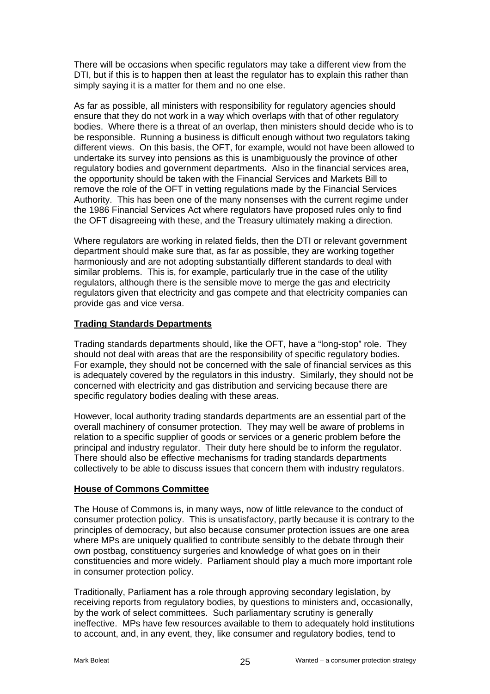There will be occasions when specific regulators may take a different view from the DTI, but if this is to happen then at least the regulator has to explain this rather than simply saying it is a matter for them and no one else.

As far as possible, all ministers with responsibility for regulatory agencies should ensure that they do not work in a way which overlaps with that of other regulatory bodies. Where there is a threat of an overlap, then ministers should decide who is to be responsible. Running a business is difficult enough without two regulators taking different views. On this basis, the OFT, for example, would not have been allowed to undertake its survey into pensions as this is unambiguously the province of other regulatory bodies and government departments. Also in the financial services area, the opportunity should be taken with the Financial Services and Markets Bill to remove the role of the OFT in vetting regulations made by the Financial Services Authority. This has been one of the many nonsenses with the current regime under the 1986 Financial Services Act where regulators have proposed rules only to find the OFT disagreeing with these, and the Treasury ultimately making a direction.

Where regulators are working in related fields, then the DTI or relevant government department should make sure that, as far as possible, they are working together harmoniously and are not adopting substantially different standards to deal with similar problems. This is, for example, particularly true in the case of the utility regulators, although there is the sensible move to merge the gas and electricity regulators given that electricity and gas compete and that electricity companies can provide gas and vice versa.

## **Trading Standards Departments**

Trading standards departments should, like the OFT, have a "long-stop" role. They should not deal with areas that are the responsibility of specific regulatory bodies. For example, they should not be concerned with the sale of financial services as this is adequately covered by the regulators in this industry. Similarly, they should not be concerned with electricity and gas distribution and servicing because there are specific regulatory bodies dealing with these areas.

However, local authority trading standards departments are an essential part of the overall machinery of consumer protection. They may well be aware of problems in relation to a specific supplier of goods or services or a generic problem before the principal and industry regulator. Their duty here should be to inform the regulator. There should also be effective mechanisms for trading standards departments collectively to be able to discuss issues that concern them with industry regulators.

#### **House of Commons Committee**

The House of Commons is, in many ways, now of little relevance to the conduct of consumer protection policy. This is unsatisfactory, partly because it is contrary to the principles of democracy, but also because consumer protection issues are one area where MPs are uniquely qualified to contribute sensibly to the debate through their own postbag, constituency surgeries and knowledge of what goes on in their constituencies and more widely. Parliament should play a much more important role in consumer protection policy.

Traditionally, Parliament has a role through approving secondary legislation, by receiving reports from regulatory bodies, by questions to ministers and, occasionally, by the work of select committees. Such parliamentary scrutiny is generally ineffective. MPs have few resources available to them to adequately hold institutions to account, and, in any event, they, like consumer and regulatory bodies, tend to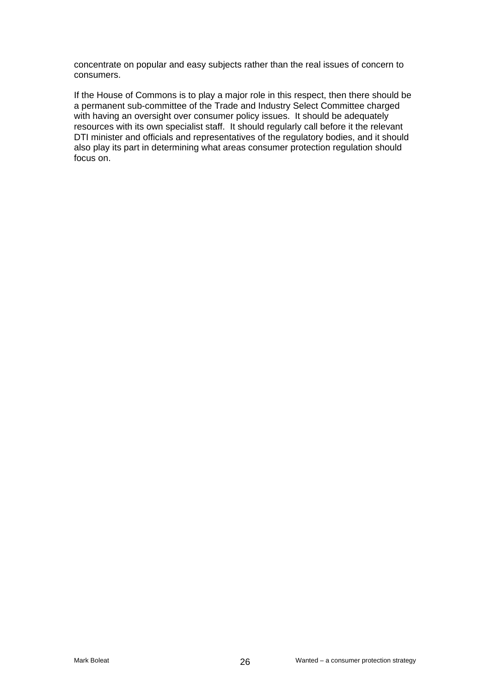concentrate on popular and easy subjects rather than the real issues of concern to consumers.

If the House of Commons is to play a major role in this respect, then there should be a permanent sub-committee of the Trade and Industry Select Committee charged with having an oversight over consumer policy issues. It should be adequately resources with its own specialist staff. It should regularly call before it the relevant DTI minister and officials and representatives of the regulatory bodies, and it should also play its part in determining what areas consumer protection regulation should focus on.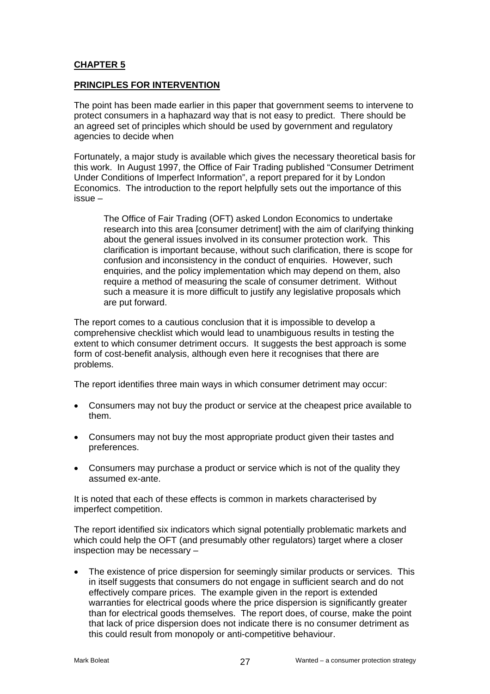## **CHAPTER 5**

## **PRINCIPLES FOR INTERVENTION**

The point has been made earlier in this paper that government seems to intervene to protect consumers in a haphazard way that is not easy to predict. There should be an agreed set of principles which should be used by government and regulatory agencies to decide when

Fortunately, a major study is available which gives the necessary theoretical basis for this work. In August 1997, the Office of Fair Trading published "Consumer Detriment Under Conditions of Imperfect Information", a report prepared for it by London Economics. The introduction to the report helpfully sets out the importance of this issue –

The Office of Fair Trading (OFT) asked London Economics to undertake research into this area [consumer detriment] with the aim of clarifying thinking about the general issues involved in its consumer protection work. This clarification is important because, without such clarification, there is scope for confusion and inconsistency in the conduct of enquiries. However, such enquiries, and the policy implementation which may depend on them, also require a method of measuring the scale of consumer detriment. Without such a measure it is more difficult to justify any legislative proposals which are put forward.

The report comes to a cautious conclusion that it is impossible to develop a comprehensive checklist which would lead to unambiguous results in testing the extent to which consumer detriment occurs. It suggests the best approach is some form of cost-benefit analysis, although even here it recognises that there are problems.

The report identifies three main ways in which consumer detriment may occur:

- Consumers may not buy the product or service at the cheapest price available to them.
- Consumers may not buy the most appropriate product given their tastes and preferences.
- Consumers may purchase a product or service which is not of the quality they assumed ex-ante.

It is noted that each of these effects is common in markets characterised by imperfect competition.

The report identified six indicators which signal potentially problematic markets and which could help the OFT (and presumably other regulators) target where a closer inspection may be necessary –

• The existence of price dispersion for seemingly similar products or services. This in itself suggests that consumers do not engage in sufficient search and do not effectively compare prices. The example given in the report is extended warranties for electrical goods where the price dispersion is significantly greater than for electrical goods themselves. The report does, of course, make the point that lack of price dispersion does not indicate there is no consumer detriment as this could result from monopoly or anti-competitive behaviour.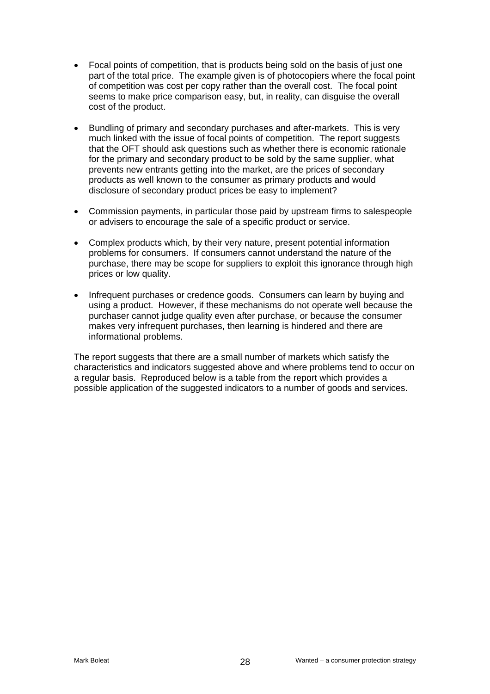- Focal points of competition, that is products being sold on the basis of just one part of the total price. The example given is of photocopiers where the focal point of competition was cost per copy rather than the overall cost. The focal point seems to make price comparison easy, but, in reality, can disguise the overall cost of the product.
- Bundling of primary and secondary purchases and after-markets. This is very much linked with the issue of focal points of competition. The report suggests that the OFT should ask questions such as whether there is economic rationale for the primary and secondary product to be sold by the same supplier, what prevents new entrants getting into the market, are the prices of secondary products as well known to the consumer as primary products and would disclosure of secondary product prices be easy to implement?
- Commission payments, in particular those paid by upstream firms to salespeople or advisers to encourage the sale of a specific product or service.
- Complex products which, by their very nature, present potential information problems for consumers. If consumers cannot understand the nature of the purchase, there may be scope for suppliers to exploit this ignorance through high prices or low quality.
- Infrequent purchases or credence goods. Consumers can learn by buying and using a product. However, if these mechanisms do not operate well because the purchaser cannot judge quality even after purchase, or because the consumer makes very infrequent purchases, then learning is hindered and there are informational problems.

The report suggests that there are a small number of markets which satisfy the characteristics and indicators suggested above and where problems tend to occur on a regular basis. Reproduced below is a table from the report which provides a possible application of the suggested indicators to a number of goods and services.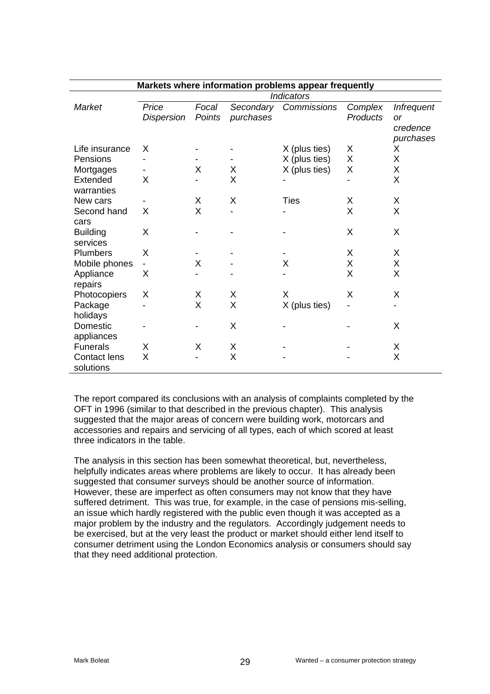| Markets where information problems appear frequently |                            |                 |                        |               |                     |                                |  |  |
|------------------------------------------------------|----------------------------|-----------------|------------------------|---------------|---------------------|--------------------------------|--|--|
|                                                      | <b>Indicators</b>          |                 |                        |               |                     |                                |  |  |
| Market                                               | Price<br><b>Dispersion</b> | Focal<br>Points | Secondary<br>purchases | Commissions   | Complex<br>Products | <b>Infrequent</b><br><b>or</b> |  |  |
|                                                      |                            |                 |                        |               |                     | credence                       |  |  |
|                                                      |                            |                 |                        |               |                     | purchases                      |  |  |
| Life insurance                                       | X                          |                 |                        | X (plus ties) | X                   | X                              |  |  |
| Pensions                                             |                            |                 |                        | X (plus ties) | Χ                   | X                              |  |  |
| Mortgages                                            |                            | X               | X                      | X (plus ties) | Χ                   | X                              |  |  |
| Extended                                             | X                          |                 | X                      |               |                     | X                              |  |  |
| warranties                                           |                            |                 |                        |               |                     |                                |  |  |
| New cars                                             |                            | X               | X                      | <b>Ties</b>   | X                   | X                              |  |  |
| Second hand                                          | X                          | X               |                        |               | Χ                   | X                              |  |  |
| cars                                                 |                            |                 |                        |               |                     |                                |  |  |
| <b>Building</b>                                      | X                          |                 |                        |               | X                   | X                              |  |  |
| services                                             |                            |                 |                        |               |                     |                                |  |  |
| Plumbers                                             | X                          |                 |                        |               | X                   | X                              |  |  |
| Mobile phones                                        |                            | X               |                        | X             | Χ                   | X                              |  |  |
| Appliance                                            | X                          |                 |                        |               | Χ                   | X                              |  |  |
| repairs                                              |                            |                 |                        |               |                     |                                |  |  |
| Photocopiers                                         | X                          | X               | X                      | X             | X                   | X                              |  |  |
| Package                                              |                            | X               | X                      | X (plus ties) |                     |                                |  |  |
| holidays                                             |                            |                 |                        |               |                     |                                |  |  |
| Domestic                                             |                            |                 | X                      |               |                     | X                              |  |  |
| appliances                                           |                            |                 |                        |               |                     |                                |  |  |
| <b>Funerals</b>                                      | X                          | X               | X                      |               |                     | Χ                              |  |  |
| <b>Contact lens</b>                                  | X                          |                 | X                      |               |                     | X                              |  |  |
| solutions                                            |                            |                 |                        |               |                     |                                |  |  |

The report compared its conclusions with an analysis of complaints completed by the OFT in 1996 (similar to that described in the previous chapter). This analysis suggested that the major areas of concern were building work, motorcars and accessories and repairs and servicing of all types, each of which scored at least three indicators in the table.

The analysis in this section has been somewhat theoretical, but, nevertheless, helpfully indicates areas where problems are likely to occur. It has already been suggested that consumer surveys should be another source of information. However, these are imperfect as often consumers may not know that they have suffered detriment. This was true, for example, in the case of pensions mis-selling, an issue which hardly registered with the public even though it was accepted as a major problem by the industry and the regulators. Accordingly judgement needs to be exercised, but at the very least the product or market should either lend itself to consumer detriment using the London Economics analysis or consumers should say that they need additional protection.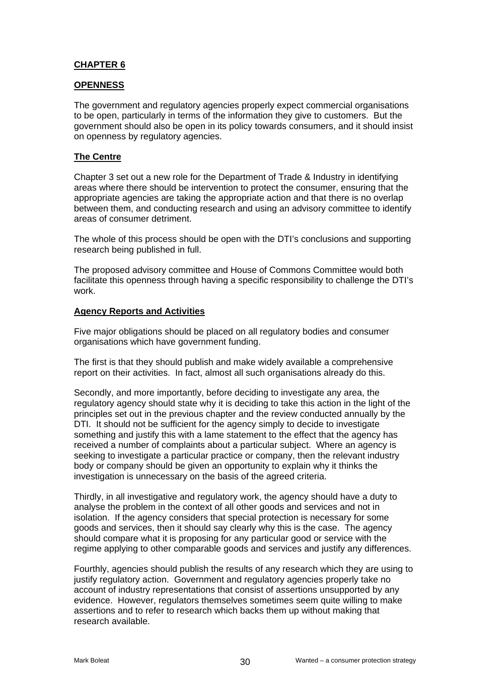## **CHAPTER 6**

## **OPENNESS**

The government and regulatory agencies properly expect commercial organisations to be open, particularly in terms of the information they give to customers. But the government should also be open in its policy towards consumers, and it should insist on openness by regulatory agencies.

## **The Centre**

Chapter 3 set out a new role for the Department of Trade & Industry in identifying areas where there should be intervention to protect the consumer, ensuring that the appropriate agencies are taking the appropriate action and that there is no overlap between them, and conducting research and using an advisory committee to identify areas of consumer detriment.

The whole of this process should be open with the DTI's conclusions and supporting research being published in full.

The proposed advisory committee and House of Commons Committee would both facilitate this openness through having a specific responsibility to challenge the DTI's work.

## **Agency Reports and Activities**

Five major obligations should be placed on all regulatory bodies and consumer organisations which have government funding.

The first is that they should publish and make widely available a comprehensive report on their activities. In fact, almost all such organisations already do this.

Secondly, and more importantly, before deciding to investigate any area, the regulatory agency should state why it is deciding to take this action in the light of the principles set out in the previous chapter and the review conducted annually by the DTI. It should not be sufficient for the agency simply to decide to investigate something and justify this with a lame statement to the effect that the agency has received a number of complaints about a particular subject. Where an agency is seeking to investigate a particular practice or company, then the relevant industry body or company should be given an opportunity to explain why it thinks the investigation is unnecessary on the basis of the agreed criteria.

Thirdly, in all investigative and regulatory work, the agency should have a duty to analyse the problem in the context of all other goods and services and not in isolation. If the agency considers that special protection is necessary for some goods and services, then it should say clearly why this is the case. The agency should compare what it is proposing for any particular good or service with the regime applying to other comparable goods and services and justify any differences.

Fourthly, agencies should publish the results of any research which they are using to justify regulatory action. Government and regulatory agencies properly take no account of industry representations that consist of assertions unsupported by any evidence. However, regulators themselves sometimes seem quite willing to make assertions and to refer to research which backs them up without making that research available.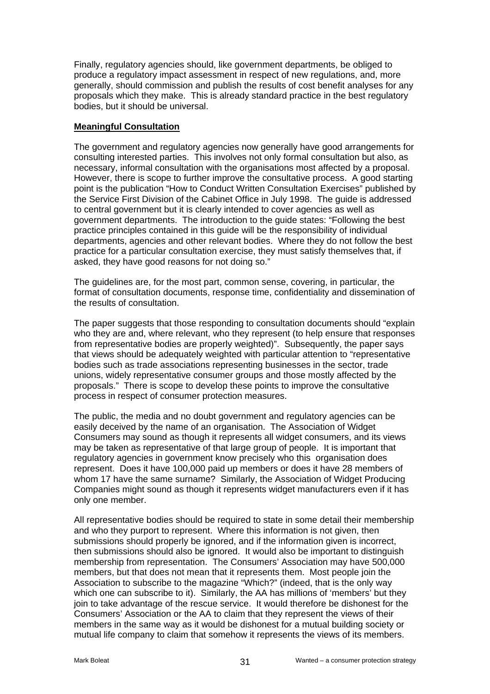Finally, regulatory agencies should, like government departments, be obliged to produce a regulatory impact assessment in respect of new regulations, and, more generally, should commission and publish the results of cost benefit analyses for any proposals which they make. This is already standard practice in the best regulatory bodies, but it should be universal.

#### **Meaningful Consultation**

The government and regulatory agencies now generally have good arrangements for consulting interested parties. This involves not only formal consultation but also, as necessary, informal consultation with the organisations most affected by a proposal. However, there is scope to further improve the consultative process. A good starting point is the publication "How to Conduct Written Consultation Exercises" published by the Service First Division of the Cabinet Office in July 1998. The guide is addressed to central government but it is clearly intended to cover agencies as well as government departments. The introduction to the guide states: "Following the best practice principles contained in this guide will be the responsibility of individual departments, agencies and other relevant bodies. Where they do not follow the best practice for a particular consultation exercise, they must satisfy themselves that, if asked, they have good reasons for not doing so."

The guidelines are, for the most part, common sense, covering, in particular, the format of consultation documents, response time, confidentiality and dissemination of the results of consultation.

The paper suggests that those responding to consultation documents should "explain who they are and, where relevant, who they represent (to help ensure that responses from representative bodies are properly weighted)". Subsequently, the paper says that views should be adequately weighted with particular attention to "representative bodies such as trade associations representing businesses in the sector, trade unions, widely representative consumer groups and those mostly affected by the proposals." There is scope to develop these points to improve the consultative process in respect of consumer protection measures.

The public, the media and no doubt government and regulatory agencies can be easily deceived by the name of an organisation. The Association of Widget Consumers may sound as though it represents all widget consumers, and its views may be taken as representative of that large group of people. It is important that regulatory agencies in government know precisely who this organisation does represent. Does it have 100,000 paid up members or does it have 28 members of whom 17 have the same surname? Similarly, the Association of Widget Producing Companies might sound as though it represents widget manufacturers even if it has only one member.

All representative bodies should be required to state in some detail their membership and who they purport to represent. Where this information is not given, then submissions should properly be ignored, and if the information given is incorrect, then submissions should also be ignored. It would also be important to distinguish membership from representation. The Consumers' Association may have 500,000 members, but that does not mean that it represents them. Most people join the Association to subscribe to the magazine "Which?" (indeed, that is the only way which one can subscribe to it). Similarly, the AA has millions of 'members' but they join to take advantage of the rescue service. It would therefore be dishonest for the Consumers' Association or the AA to claim that they represent the views of their members in the same way as it would be dishonest for a mutual building society or mutual life company to claim that somehow it represents the views of its members.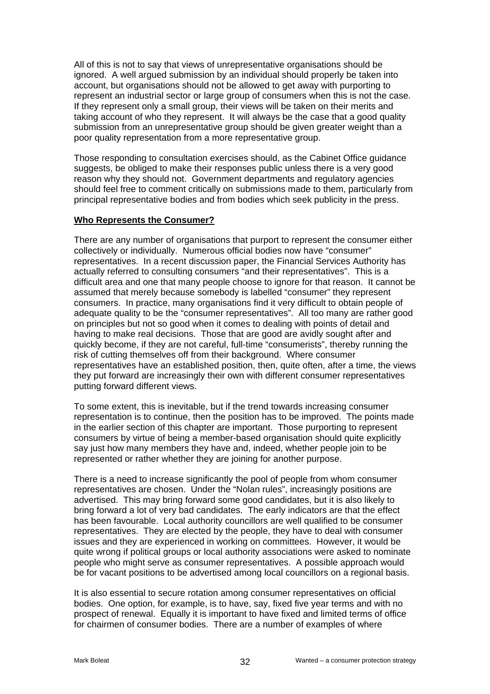All of this is not to say that views of unrepresentative organisations should be ignored. A well argued submission by an individual should properly be taken into account, but organisations should not be allowed to get away with purporting to represent an industrial sector or large group of consumers when this is not the case. If they represent only a small group, their views will be taken on their merits and taking account of who they represent. It will always be the case that a good quality submission from an unrepresentative group should be given greater weight than a poor quality representation from a more representative group.

Those responding to consultation exercises should, as the Cabinet Office guidance suggests, be obliged to make their responses public unless there is a very good reason why they should not. Government departments and regulatory agencies should feel free to comment critically on submissions made to them, particularly from principal representative bodies and from bodies which seek publicity in the press.

#### **Who Represents the Consumer?**

There are any number of organisations that purport to represent the consumer either collectively or individually. Numerous official bodies now have "consumer" representatives. In a recent discussion paper, the Financial Services Authority has actually referred to consulting consumers "and their representatives". This is a difficult area and one that many people choose to ignore for that reason. It cannot be assumed that merely because somebody is labelled "consumer" they represent consumers. In practice, many organisations find it very difficult to obtain people of adequate quality to be the "consumer representatives". All too many are rather good on principles but not so good when it comes to dealing with points of detail and having to make real decisions. Those that are good are avidly sought after and quickly become, if they are not careful, full-time "consumerists", thereby running the risk of cutting themselves off from their background. Where consumer representatives have an established position, then, quite often, after a time, the views they put forward are increasingly their own with different consumer representatives putting forward different views.

To some extent, this is inevitable, but if the trend towards increasing consumer representation is to continue, then the position has to be improved. The points made in the earlier section of this chapter are important. Those purporting to represent consumers by virtue of being a member-based organisation should quite explicitly say just how many members they have and, indeed, whether people join to be represented or rather whether they are joining for another purpose.

There is a need to increase significantly the pool of people from whom consumer representatives are chosen. Under the "Nolan rules", increasingly positions are advertised. This may bring forward some good candidates, but it is also likely to bring forward a lot of very bad candidates. The early indicators are that the effect has been favourable. Local authority councillors are well qualified to be consumer representatives. They are elected by the people, they have to deal with consumer issues and they are experienced in working on committees. However, it would be quite wrong if political groups or local authority associations were asked to nominate people who might serve as consumer representatives. A possible approach would be for vacant positions to be advertised among local councillors on a regional basis.

It is also essential to secure rotation among consumer representatives on official bodies. One option, for example, is to have, say, fixed five year terms and with no prospect of renewal. Equally it is important to have fixed and limited terms of office for chairmen of consumer bodies. There are a number of examples of where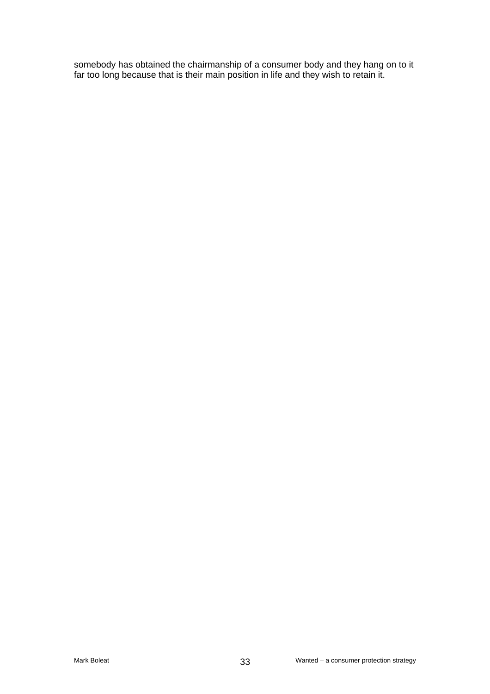somebody has obtained the chairmanship of a consumer body and they hang on to it far too long because that is their main position in life and they wish to retain it.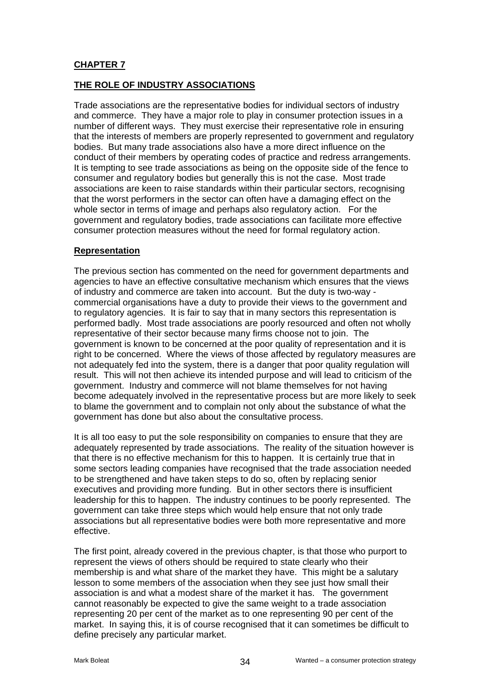## **CHAPTER 7**

## **THE ROLE OF INDUSTRY ASSOCIATIONS**

Trade associations are the representative bodies for individual sectors of industry and commerce. They have a major role to play in consumer protection issues in a number of different ways. They must exercise their representative role in ensuring that the interests of members are properly represented to government and regulatory bodies. But many trade associations also have a more direct influence on the conduct of their members by operating codes of practice and redress arrangements. It is tempting to see trade associations as being on the opposite side of the fence to consumer and regulatory bodies but generally this is not the case. Most trade associations are keen to raise standards within their particular sectors, recognising that the worst performers in the sector can often have a damaging effect on the whole sector in terms of image and perhaps also regulatory action. For the government and regulatory bodies, trade associations can facilitate more effective consumer protection measures without the need for formal regulatory action.

#### **Representation**

The previous section has commented on the need for government departments and agencies to have an effective consultative mechanism which ensures that the views of industry and commerce are taken into account. But the duty is two-way commercial organisations have a duty to provide their views to the government and to regulatory agencies. It is fair to say that in many sectors this representation is performed badly. Most trade associations are poorly resourced and often not wholly representative of their sector because many firms choose not to join. The government is known to be concerned at the poor quality of representation and it is right to be concerned. Where the views of those affected by regulatory measures are not adequately fed into the system, there is a danger that poor quality regulation will result. This will not then achieve its intended purpose and will lead to criticism of the government. Industry and commerce will not blame themselves for not having become adequately involved in the representative process but are more likely to seek to blame the government and to complain not only about the substance of what the government has done but also about the consultative process.

It is all too easy to put the sole responsibility on companies to ensure that they are adequately represented by trade associations. The reality of the situation however is that there is no effective mechanism for this to happen. It is certainly true that in some sectors leading companies have recognised that the trade association needed to be strengthened and have taken steps to do so, often by replacing senior executives and providing more funding. But in other sectors there is insufficient leadership for this to happen. The industry continues to be poorly represented. The government can take three steps which would help ensure that not only trade associations but all representative bodies were both more representative and more effective.

The first point, already covered in the previous chapter, is that those who purport to represent the views of others should be required to state clearly who their membership is and what share of the market they have. This might be a salutary lesson to some members of the association when they see just how small their association is and what a modest share of the market it has. The government cannot reasonably be expected to give the same weight to a trade association representing 20 per cent of the market as to one representing 90 per cent of the market. In saying this, it is of course recognised that it can sometimes be difficult to define precisely any particular market.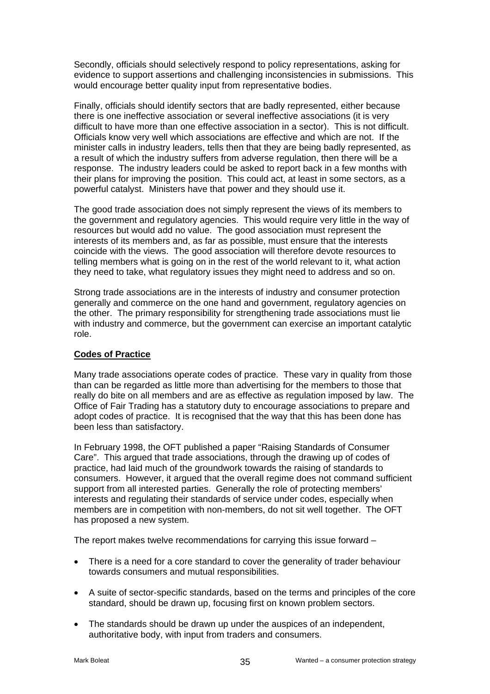Secondly, officials should selectively respond to policy representations, asking for evidence to support assertions and challenging inconsistencies in submissions. This would encourage better quality input from representative bodies.

Finally, officials should identify sectors that are badly represented, either because there is one ineffective association or several ineffective associations (it is very difficult to have more than one effective association in a sector). This is not difficult. Officials know very well which associations are effective and which are not. If the minister calls in industry leaders, tells then that they are being badly represented, as a result of which the industry suffers from adverse regulation, then there will be a response. The industry leaders could be asked to report back in a few months with their plans for improving the position. This could act, at least in some sectors, as a powerful catalyst. Ministers have that power and they should use it.

The good trade association does not simply represent the views of its members to the government and regulatory agencies. This would require very little in the way of resources but would add no value. The good association must represent the interests of its members and, as far as possible, must ensure that the interests coincide with the views. The good association will therefore devote resources to telling members what is going on in the rest of the world relevant to it, what action they need to take, what regulatory issues they might need to address and so on.

Strong trade associations are in the interests of industry and consumer protection generally and commerce on the one hand and government, regulatory agencies on the other. The primary responsibility for strengthening trade associations must lie with industry and commerce, but the government can exercise an important catalytic role.

#### **Codes of Practice**

Many trade associations operate codes of practice. These vary in quality from those than can be regarded as little more than advertising for the members to those that really do bite on all members and are as effective as regulation imposed by law. The Office of Fair Trading has a statutory duty to encourage associations to prepare and adopt codes of practice. It is recognised that the way that this has been done has been less than satisfactory.

In February 1998, the OFT published a paper "Raising Standards of Consumer Care". This argued that trade associations, through the drawing up of codes of practice, had laid much of the groundwork towards the raising of standards to consumers. However, it argued that the overall regime does not command sufficient support from all interested parties. Generally the role of protecting members' interests and regulating their standards of service under codes, especially when members are in competition with non-members, do not sit well together. The OFT has proposed a new system.

The report makes twelve recommendations for carrying this issue forward –

- There is a need for a core standard to cover the generality of trader behaviour towards consumers and mutual responsibilities.
- A suite of sector-specific standards, based on the terms and principles of the core standard, should be drawn up, focusing first on known problem sectors.
- The standards should be drawn up under the auspices of an independent, authoritative body, with input from traders and consumers.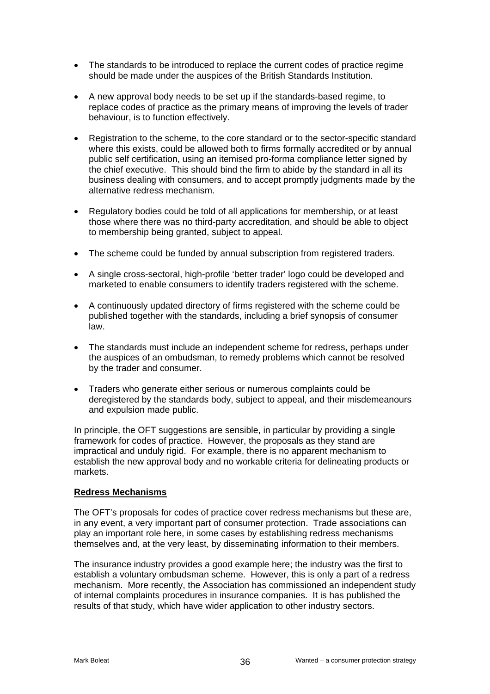- The standards to be introduced to replace the current codes of practice regime should be made under the auspices of the British Standards Institution.
- A new approval body needs to be set up if the standards-based regime, to replace codes of practice as the primary means of improving the levels of trader behaviour, is to function effectively.
- Registration to the scheme, to the core standard or to the sector-specific standard where this exists, could be allowed both to firms formally accredited or by annual public self certification, using an itemised pro-forma compliance letter signed by the chief executive. This should bind the firm to abide by the standard in all its business dealing with consumers, and to accept promptly judgments made by the alternative redress mechanism.
- Regulatory bodies could be told of all applications for membership, or at least those where there was no third-party accreditation, and should be able to object to membership being granted, subject to appeal.
- The scheme could be funded by annual subscription from registered traders.
- A single cross-sectoral, high-profile 'better trader' logo could be developed and marketed to enable consumers to identify traders registered with the scheme.
- A continuously updated directory of firms registered with the scheme could be published together with the standards, including a brief synopsis of consumer law.
- The standards must include an independent scheme for redress, perhaps under the auspices of an ombudsman, to remedy problems which cannot be resolved by the trader and consumer.
- Traders who generate either serious or numerous complaints could be deregistered by the standards body, subject to appeal, and their misdemeanours and expulsion made public.

In principle, the OFT suggestions are sensible, in particular by providing a single framework for codes of practice. However, the proposals as they stand are impractical and unduly rigid. For example, there is no apparent mechanism to establish the new approval body and no workable criteria for delineating products or markets.

#### **Redress Mechanisms**

The OFT's proposals for codes of practice cover redress mechanisms but these are, in any event, a very important part of consumer protection. Trade associations can play an important role here, in some cases by establishing redress mechanisms themselves and, at the very least, by disseminating information to their members.

The insurance industry provides a good example here; the industry was the first to establish a voluntary ombudsman scheme. However, this is only a part of a redress mechanism. More recently, the Association has commissioned an independent study of internal complaints procedures in insurance companies. It is has published the results of that study, which have wider application to other industry sectors.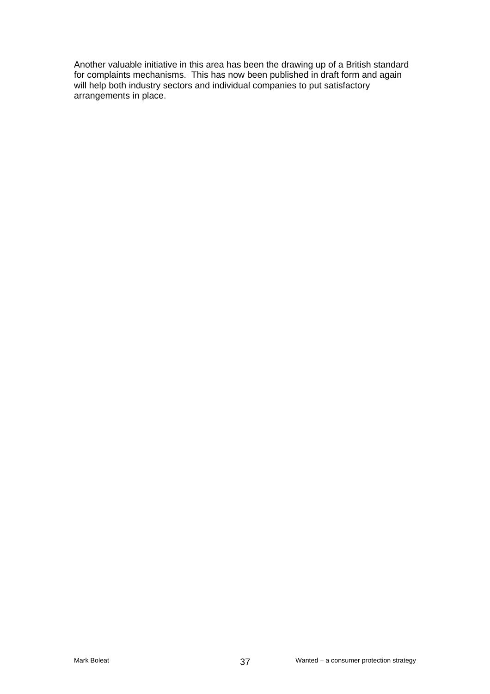Another valuable initiative in this area has been the drawing up of a British standard for complaints mechanisms. This has now been published in draft form and again will help both industry sectors and individual companies to put satisfactory arrangements in place.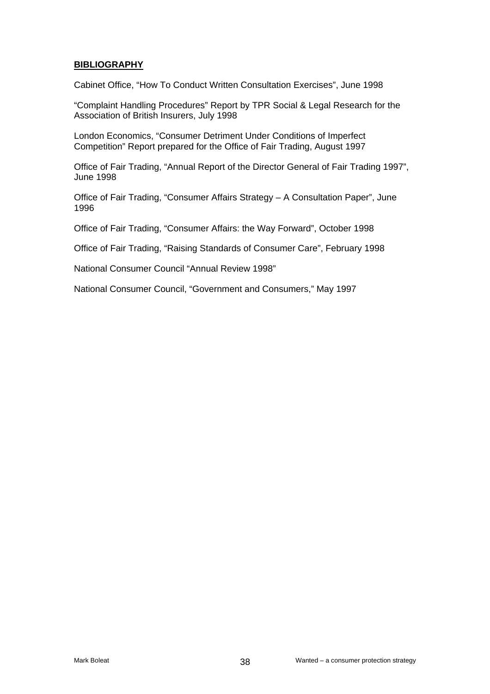#### **BIBLIOGRAPHY**

Cabinet Office, "How To Conduct Written Consultation Exercises", June 1998

"Complaint Handling Procedures" Report by TPR Social & Legal Research for the Association of British Insurers, July 1998

London Economics, "Consumer Detriment Under Conditions of Imperfect Competition" Report prepared for the Office of Fair Trading, August 1997

Office of Fair Trading, "Annual Report of the Director General of Fair Trading 1997", June 1998

Office of Fair Trading, "Consumer Affairs Strategy – A Consultation Paper", June 1996

Office of Fair Trading, "Consumer Affairs: the Way Forward", October 1998

Office of Fair Trading, "Raising Standards of Consumer Care", February 1998

National Consumer Council "Annual Review 1998"

National Consumer Council, "Government and Consumers," May 1997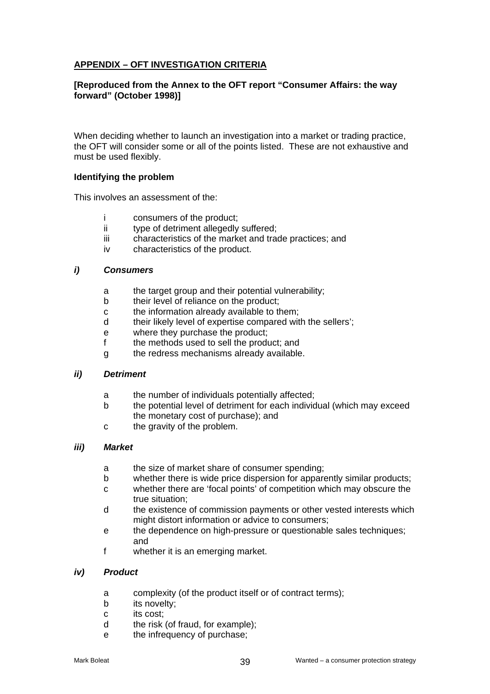## **APPENDIX – OFT INVESTIGATION CRITERIA**

#### **[Reproduced from the Annex to the OFT report "Consumer Affairs: the way forward" (October 1998)]**

When deciding whether to launch an investigation into a market or trading practice, the OFT will consider some or all of the points listed. These are not exhaustive and must be used flexibly.

#### **Identifying the problem**

This involves an assessment of the:

- consumers of the product:
- ii type of detriment allegedly suffered;
- iii characteristics of the market and trade practices; and
- iv characteristics of the product.

#### *i) Consumers*

- a the target group and their potential vulnerability;
- b their level of reliance on the product;
- c the information already available to them;
- d their likely level of expertise compared with the sellers';
- e where they purchase the product;
- f the methods used to sell the product; and
- g the redress mechanisms already available.

## *ii) Detriment*

- a the number of individuals potentially affected;
- b the potential level of detriment for each individual (which may exceed the monetary cost of purchase); and
- c the gravity of the problem.

## *iii) Market*

- a the size of market share of consumer spending;
- b whether there is wide price dispersion for apparently similar products;
- c whether there are 'focal points' of competition which may obscure the true situation;
- d the existence of commission payments or other vested interests which might distort information or advice to consumers;
- e the dependence on high-pressure or questionable sales techniques; and
- f whether it is an emerging market.

#### *iv) Product*

- a complexity (of the product itself or of contract terms);
- b its novelty;
- c its cost;
- d the risk (of fraud, for example);
- e the infrequency of purchase;